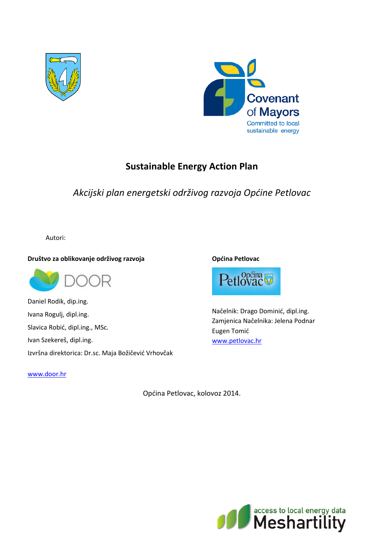



# **Sustainable Energy Action Plan**

*Akcijski plan energetski održivog razvoja Općine Petlovac*

Autori:

**Društvo za oblikovanje održivog razvoja**



Daniel Rodik, dip.ing. Ivana Rogulj, dipl.ing. Slavica Robić, dipl.ing., MSc. Ivan Szekereš, dipl.ing. Izvršna direktorica: Dr.sc. Maja Božičević Vrhovčak

[www.door.hr](http://www.door.hr/)

**Općina Petlovac**



Načelnik: Drago Dominić, dipl.ing. Zamjenica Načelnika: Jelena Podnar Eugen Tomić [www.petlovac.hr](http://www.petlovac.hr/)

Općina Petlovac, kolovoz 2014.

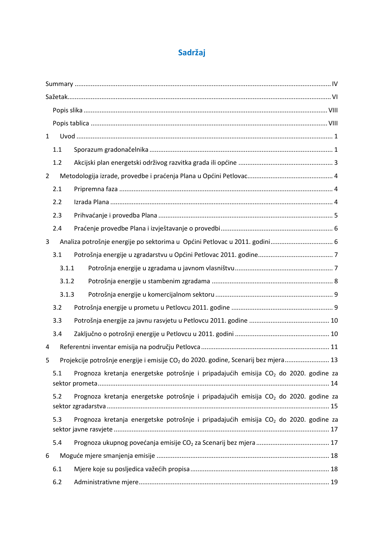# **Sadržaj**

| $\mathbf{1}$   |       |                                                                                                  |  |
|----------------|-------|--------------------------------------------------------------------------------------------------|--|
|                | 1.1   |                                                                                                  |  |
|                | 1.2   |                                                                                                  |  |
| $\overline{2}$ |       |                                                                                                  |  |
|                | 2.1   |                                                                                                  |  |
|                | 2.2   |                                                                                                  |  |
|                | 2.3   |                                                                                                  |  |
|                | 2.4   |                                                                                                  |  |
| 3              |       | Analiza potrošnje energije po sektorima u Općini Petlovac u 2011. godini 6                       |  |
|                | 3.1   |                                                                                                  |  |
|                | 3.1.1 |                                                                                                  |  |
|                | 3.1.2 |                                                                                                  |  |
|                | 3.1.3 |                                                                                                  |  |
|                | 3.2   |                                                                                                  |  |
|                | 3.3   |                                                                                                  |  |
|                | 3.4   |                                                                                                  |  |
| 4              |       |                                                                                                  |  |
| 5              |       | Projekcije potrošnje energije i emisije CO <sub>2</sub> do 2020. godine, Scenarij bez mjera 13   |  |
|                | 5.1   | Prognoza kretanja energetske potrošnje i pripadajućih emisija CO <sub>2</sub> do 2020. godine za |  |
|                | 5.2   | Prognoza kretanja energetske potrošnje i pripadajućih emisija CO <sub>2</sub> do 2020. godine za |  |
|                | 5.3   | Prognoza kretanja energetske potrošnje i pripadajućih emisija CO <sub>2</sub> do 2020. godine za |  |
|                | 5.4   |                                                                                                  |  |
| 6              |       |                                                                                                  |  |
|                | 6.1   |                                                                                                  |  |
|                | 6.2   |                                                                                                  |  |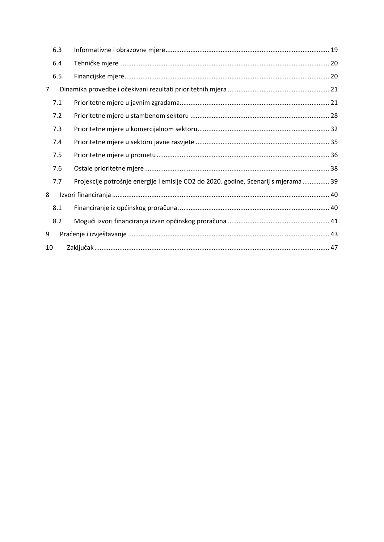|    | 6.3 |                                                                                     |  |
|----|-----|-------------------------------------------------------------------------------------|--|
|    | 6.4 |                                                                                     |  |
|    | 6.5 |                                                                                     |  |
| 7  |     |                                                                                     |  |
|    | 7.1 |                                                                                     |  |
|    | 7.2 |                                                                                     |  |
|    | 7.3 |                                                                                     |  |
|    | 7.4 |                                                                                     |  |
|    | 7.5 |                                                                                     |  |
|    | 7.6 |                                                                                     |  |
|    | 7.7 | Projekcije potrošnje energije i emisije CO2 do 2020. godine, Scenarij s mjerama  39 |  |
| 8  |     |                                                                                     |  |
|    | 8.1 |                                                                                     |  |
|    | 8.2 |                                                                                     |  |
| 9  |     |                                                                                     |  |
| 10 |     |                                                                                     |  |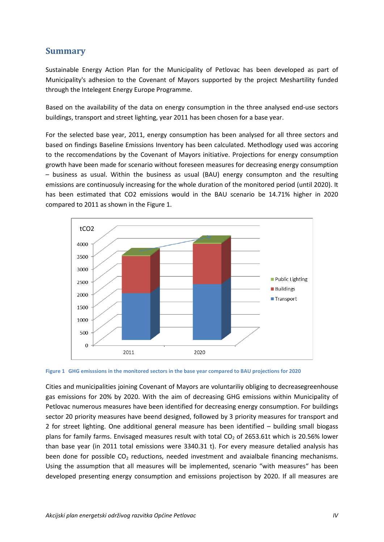#### <span id="page-3-0"></span>**Summary**

Sustainable Energy Action Plan for the Municipality of Petlovac has been developed as part of Municipality's adhesion to the Covenant of Mayors supported by the project Meshartility funded through the Intelegent Energy Europe Programme.

Based on the availability of the data on energy consumption in the three analysed end-use sectors buildings, transport and street lighting, year 2011 has been chosen for a base year.

For the selected base year, 2011, energy consumption has been analysed for all three sectors and based on findings Baseline Emissions Inventory has been calculated. Methodlogy used was accoring to the reccomendations by the Covenant of Mayors initiative. Projections for energy consumption growth have been made for scenario without foreseen measures for decreasing energy consumption – business as usual. Within the business as usual (BAU) energy consumpton and the resulting emissions are continuosuly increasing for the whole duration of the monitored period (until 2020). It has been estimated that CO2 emissions would in the BAU scenario be 14.71% higher in 2020 compared to 2011 as shown in the [Figure 1.](#page-3-1)



<span id="page-3-1"></span>

Cities and municipalities joining Covenant of Mayors are voluntariliy obliging to decreasegreenhouse gas emissions for 20% by 2020. With the aim of decreasing GHG emissions within Municipality of Petlovac numerous measures have been identified for decreasing energy consumption. For buildings sector 20 priority measures have beend designed, followed by 3 priority measures for transport and 2 for street lighting. One additional general measure has been identified – building small biogass plans for family farms. Envisaged measures result with total  $CO<sub>2</sub>$  of 2653.61t which is 20.56% lower than base year (in 2011 total emissions were 3340.31 t). For every measure detalied analysis has been done for possible  $CO<sub>2</sub>$  reductions, needed investment and avaialbale financing mechanisms. Using the assumption that all measures will be implemented, scenario "with measures" has been developed presenting energy consumption and emissions projectison by 2020. If all measures are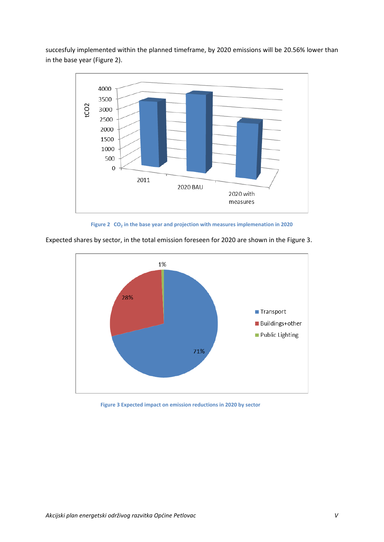succesfuly implemented within the planned timeframe, by 2020 emissions will be 20.56% lower than in the base year ([Figure 2](#page-4-0)).



**Figure 2 CO<sup>2</sup> in the base year and projection with measures implemenation in 2020**



<span id="page-4-0"></span>Expected shares by sector, in the total emission foreseen for 2020 are shown in the [Figure 3.](#page-4-1)

<span id="page-4-1"></span>**Figure 3 Expected impact on emission reductions in 2020 by sector**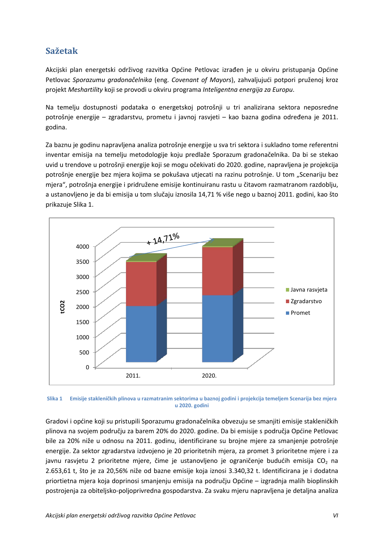## <span id="page-5-0"></span>**Sažetak**

Akcijski plan energetski održivog razvitka Općine Petlovac izrađen je u okviru pristupanja Općine Petlovac *Sporazumu gradonačelnika* (eng. *Covenant of Mayors*), zahvaljujući potpori pruženoj kroz projekt *Meshartility* koji se provodi u okviru programa *Inteligentna energija za Europu*.

Na temelju dostupnosti podataka o energetskoj potrošnji u tri analizirana sektora neposredne potrošnje energije – zgradarstvu, prometu i javnoj rasvjeti – kao bazna godina određena je 2011. godina.

Za baznu je godinu napravljena analiza potrošnje energije u sva tri sektora i sukladno tome referentni inventar emisija na temelju metodologije koju predlaže Sporazum gradonačelnika. Da bi se stekao uvid u trendove u potrošnji energije koji se mogu očekivati do 2020. godine, napravljena je projekcija potrošnje energije bez mjera kojima se pokušava utjecati na razinu potrošnje. U tom "Scenariju bez mjera", potrošnja energije i pridružene emisije kontinuiranu rastu u čitavom razmatranom razdoblju, a ustanovljeno je da bi emisija u tom slučaju iznosila 14,71 % više nego u baznoj 2011. godini, kao što prikazuje [Slika 1.](#page-5-1)



<span id="page-5-1"></span>**Slika 1 Emisije stakleničkih plinova u razmatranim sektorima u baznoj godini i projekcija temeljem Scenarija bez mjera u 2020. godini**

Gradovi i općine koji su pristupili Sporazumu gradonačelnika obvezuju se smanjiti emisije stakleničkih plinova na svojem području za barem 20% do 2020. godine. Da bi emisije s područja Općine Petlovac bile za 20% niže u odnosu na 2011. godinu, identificirane su brojne mjere za smanjenje potrošnje energije. Za sektor zgradarstva izdvojeno je 20 prioritetnih mjera, za promet 3 prioritetne mjere i za javnu rasvjetu 2 prioritetne mjere, čime je ustanovljeno je ograničenje budućih emisija CO<sub>2</sub> na 2.653,61 t, što je za 20,56% niže od bazne emisije koja iznosi 3.340,32 t. Identificirana je i dodatna priortietna mjera koja doprinosi smanjenju emisija na području Općine – izgradnja malih bioplinskih postrojenja za obiteljsko-poljoprivredna gospodarstva. Za svaku mjeru napravljena je detaljna analiza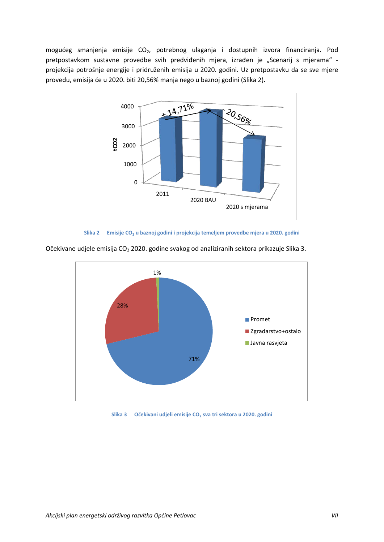mogućeg smanjenja emisije CO<sub>2</sub>, potrebnog ulaganja i dostupnih izvora financiranja. Pod pretpostavkom sustavne provedbe svih predviđenih mjera, izrađen je "Scenarij s mjerama" projekcija potrošnje energije i pridruženih emisija u 2020. godini. Uz pretpostavku da se sve mjere provedu, emisija će u 2020. biti 20,56% manja nego u baznoj godini ([Slika 2](#page-6-0)).







<span id="page-6-0"></span>Očekivane udjele emisija CO<sub>2</sub> 2020. godine svakog od analiziranih sektora prikazuje [Slika 3.](#page-6-1)

<span id="page-6-1"></span>**Slika 3 Očekivani udjeli emisije CO<sup>2</sup> sva tri sektora u 2020. godini**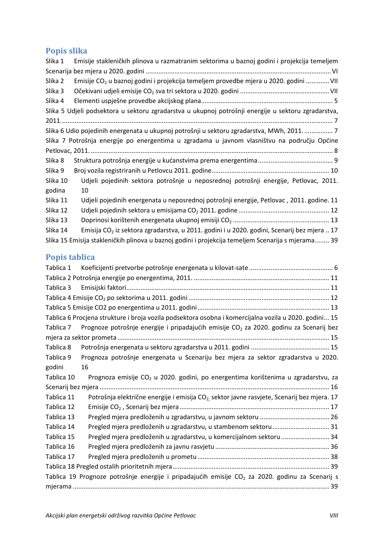# <span id="page-7-0"></span>**Popis slika**

| Slika 1  | Emisije stakleničkih plinova u razmatranim sektorima u baznoj godini i projekcija temeljem              |
|----------|---------------------------------------------------------------------------------------------------------|
|          |                                                                                                         |
| Slika 2  | Emisije CO <sub>2</sub> u baznoj godini i projekcija temeljem provedbe mjera u 2020. godini  VII        |
| Slika 3  |                                                                                                         |
| Slika 4  |                                                                                                         |
|          | Slika 5 Udjeli podsektora u sektoru zgradarstva u ukupnoj potrošnji energije u sektoru zgradarstva,     |
|          |                                                                                                         |
|          | Slika 6 Udio pojedinih energenata u ukupnoj potrošnji u sektoru zgradarstva, MWh, 2011 7                |
|          | Slika 7 Potrošnja energije po energentima u zgradama u javnom vlasništvu na području Općine             |
|          |                                                                                                         |
| Slika 8  |                                                                                                         |
| Slika 9  |                                                                                                         |
| Slika 10 | Udjeli pojedinih sektora potrošnje u neposrednoj potrošnji energije, Petlovac, 2011.                    |
| godina   | 10                                                                                                      |
| Slika 11 | Udjeli pojedinih energenata u neposrednoj potrošnji energije, Petlovac, 2011. godine. 11                |
| Slika 12 |                                                                                                         |
| Slika 13 |                                                                                                         |
| Slika 14 | Emisija CO <sub>2</sub> iz sektora zgradarstva, u 2011. godini i u 2020. godini, Scenarij bez mjera  17 |
|          | Slika 15 Emisija stakleničkih plinova u baznoj godini i projekcija temeljem Scenarija s mjerama 39      |

# <span id="page-7-1"></span>**Popis tablica**

| Tablica 1  |                                                                                                             |  |  |  |  |  |
|------------|-------------------------------------------------------------------------------------------------------------|--|--|--|--|--|
|            |                                                                                                             |  |  |  |  |  |
| Tablica 3  |                                                                                                             |  |  |  |  |  |
|            |                                                                                                             |  |  |  |  |  |
|            |                                                                                                             |  |  |  |  |  |
|            | Tablica 6 Procjena strukture i broja vozila podsektora osobna i komercijalna vozila u 2020. godini 15       |  |  |  |  |  |
| Tablica 7  | Prognoze potrošnje energije i pripadajućih emisije CO <sub>2</sub> za 2020. godinu za Scenarij bez          |  |  |  |  |  |
|            |                                                                                                             |  |  |  |  |  |
| Tablica 8  |                                                                                                             |  |  |  |  |  |
| Tablica 9  | Prognoza potrošnje energenata u Scenariju bez mjera za sektor zgradarstva u 2020.                           |  |  |  |  |  |
| godini     | 16                                                                                                          |  |  |  |  |  |
| Tablica 10 | Prognoza emisije CO <sub>2</sub> u 2020. godini, po energentima korištenima u zgradarstvu, za               |  |  |  |  |  |
|            |                                                                                                             |  |  |  |  |  |
| Tablica 11 | Potrošnja električne energije i emisija CO <sub>2</sub> sektor javne rasvjete, Scenarij bez mjera. 17       |  |  |  |  |  |
| Tablica 12 |                                                                                                             |  |  |  |  |  |
| Tablica 13 |                                                                                                             |  |  |  |  |  |
| Tablica 14 | Pregled mjera predloženih u zgradarstvu, u stambenom sektoru 31                                             |  |  |  |  |  |
| Tablica 15 | Pregled mjera predloženih u zgradarstvu, u komercijalnom sektoru  34                                        |  |  |  |  |  |
| Tablica 16 |                                                                                                             |  |  |  |  |  |
| Tablica 17 |                                                                                                             |  |  |  |  |  |
|            |                                                                                                             |  |  |  |  |  |
|            | Tablica 19 Prognoze potrošnje energije i pripadajućih emisije CO <sub>2</sub> za 2020. godinu za Scenarij s |  |  |  |  |  |
|            |                                                                                                             |  |  |  |  |  |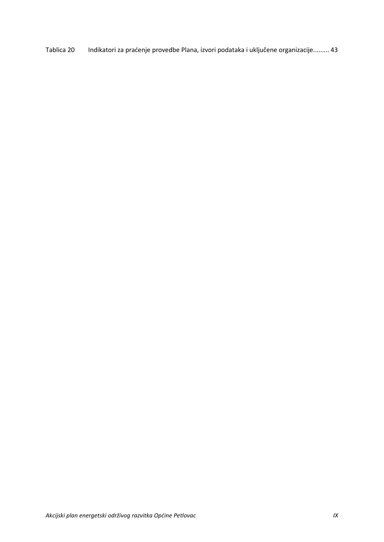Tablica 20 [Indikatori za praćenje provedbe Plana, izvori podataka i uključene organizacije](#page-51-1)......... 43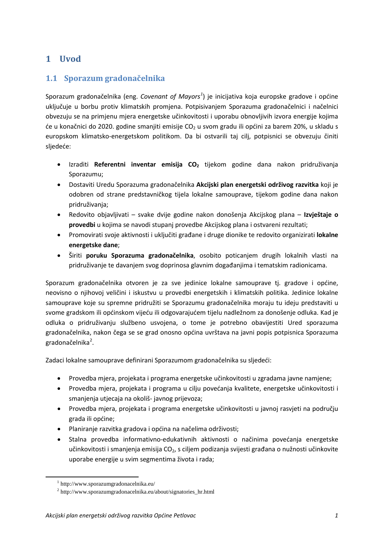## <span id="page-9-0"></span>**1 Uvod**

### <span id="page-9-1"></span>**1.1 Sporazum gradonačelnika**

Sporazum gradonačelnika (eng. *Covenant of Mayors[1](#page-9-2)* ) je inicijativa koja europske gradove i općine uključuje u borbu protiv klimatskih promjena. Potpisivanjem Sporazuma gradonačelnici i načelnici obvezuju se na primjenu mjera energetske učinkovitosti i uporabu obnovljivih izvora energije kojima će u konačnici do 2020. godine smanjiti emisije  $CO<sub>2</sub>$ u svom gradu ili općini za barem 20%, u skladu s europskom klimatsko-energetskom politikom. Da bi ostvarili taj cilj, potpisnici se obvezuju činiti sljedeće:

- Izraditi **Referentni inventar emisija CO2** tijekom godine dana nakon pridruživanja Sporazumu;
- Dostaviti Uredu Sporazuma gradonačelnika **Akcijski plan energetski održivog razvitka** koji je odobren od strane predstavničkog tijela lokalne samouprave, tijekom godine dana nakon pridruživanja;
- Redovito objavljivati svake dvije godine nakon donošenja Akcijskog plana **Izvještaje o provedbi** u kojima se navodi stupanj provedbe Akcijskog plana i ostvareni rezultati;
- Promovirati svoje aktivnosti i uključiti građane i druge dionike te redovito organizirati **lokalne energetske dane**;
- Širiti **poruku Sporazuma gradonačelnika**, osobito poticanjem drugih lokalnih vlasti na pridruživanje te davanjem svog doprinosa glavnim događanjima i tematskim radionicama.

Sporazum gradonačelnika otvoren je za sve jedinice lokalne samouprave tj. gradove i općine, neovisno o njihovoj veličini i iskustvu u provedbi energetskih i klimatskih politika. Jedinice lokalne samouprave koje su spremne pridružiti se Sporazumu gradonačelnika moraju tu ideju predstaviti u svome gradskom ili općinskom vijeću ili odgovarajućem tijelu nadležnom za donošenje odluka. Kad je odluka o pridruživanju službeno usvojena, o tome je potrebno obavijestiti Ured sporazuma gradonačelnika, nakon čega se se grad onosno općina uvrštava na javni popis potpisnica Sporazuma gradonačelnika<sup>[2](#page-9-3)</sup>.

Zadaci lokalne samouprave definirani Sporazumom gradonačelnika su sljedeći:

- Provedba mjera, projekata i programa energetske učinkovitosti u zgradama javne namjene;
- Provedba mjera, projekata i programa u cilju povećanja kvalitete, energetske učinkovitosti i smanjenja utjecaja na okoliš- javnog prijevoza;
- Provedba mjera, projekata i programa energetske učinkovitosti u javnoj rasvjeti na području grada ili općine;
- Planiranje razvitka gradova i općina na načelima održivosti;
- Stalna provedba informativno-edukativnih aktivnosti o načinima povećanja energetske učinkovitosti i smanjenja emisija CO<sub>2</sub>, s ciljem podizanja svijesti građana o nužnosti učinkovite uporabe energije u svim segmentima života i rada;

<span id="page-9-2"></span><sup>1</sup> http://www.sporazumgradonacelnika.eu/

<span id="page-9-3"></span> $^{2}$  http://www.sporazumgradonacelnika.eu/about/signatories hr.html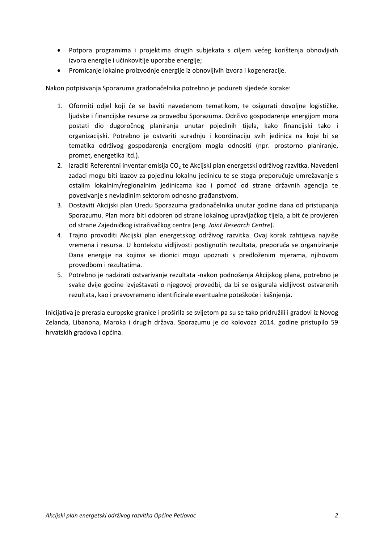- Potpora programima i projektima drugih subjekata s ciljem većeg korištenja obnovljivih izvora energije i učinkovitije uporabe energije;
- Promicanje lokalne proizvodnje energije iz obnovljivih izvora i kogeneracije.

Nakon potpisivanja Sporazuma gradonačelnika potrebno je poduzeti sljedeće korake:

- 1. Oformiti odjel koji će se baviti navedenom tematikom, te osigurati dovoljne logističke, ljudske i financijske resurse za provedbu Sporazuma. Održivo gospodarenje energijom mora postati dio dugoročnog planiranja unutar pojedinih tijela, kako financijski tako i organizacijski. Potrebno je ostvariti suradnju i koordinaciju svih jedinica na koje bi se tematika održivog gospodarenja energijom mogla odnositi (npr. prostorno planiranje, promet, energetika itd.).
- 2. Izraditi Referentni inventar emisija CO<sub>2</sub> te Akcijski plan energetski održivog razvitka. Navedeni zadaci mogu biti izazov za pojedinu lokalnu jedinicu te se stoga preporučuje umrežavanje s ostalim lokalnim/regionalnim jedinicama kao i pomoć od strane državnih agencija te povezivanje s nevladinim sektorom odnosno građanstvom.
- 3. Dostaviti Akcijski plan Uredu Sporazuma gradonačelnika unutar godine dana od pristupanja Sporazumu. Plan mora biti odobren od strane lokalnog upravljačkog tijela, a bit će provjeren od strane Zajedničkog istraživačkog centra (eng. *Joint Research Centre*).
- 4. Trajno provoditi Akcijski plan energetskog održivog razvitka. Ovaj korak zahtijeva najviše vremena i resursa. U kontekstu vidljivosti postignutih rezultata, preporuča se organiziranje Dana energije na kojima se dionici mogu upoznati s predloženim mjerama, njihovom provedbom i rezultatima.
- 5. Potrebno je nadzirati ostvarivanje rezultata -nakon podnošenja Akcijskog plana, potrebno je svake dvije godine izvještavati o njegovoj provedbi, da bi se osigurala vidljivost ostvarenih rezultata, kao i pravovremeno identificirale eventualne poteškoće i kašnjenja.

Inicijativa je prerasla europske granice i proširila se svijetom pa su se tako pridružili i gradovi iz Novog Zelanda, Libanona, Maroka i drugih država. Sporazumu je do kolovoza 2014. godine pristupilo 59 hrvatskih gradova i općina.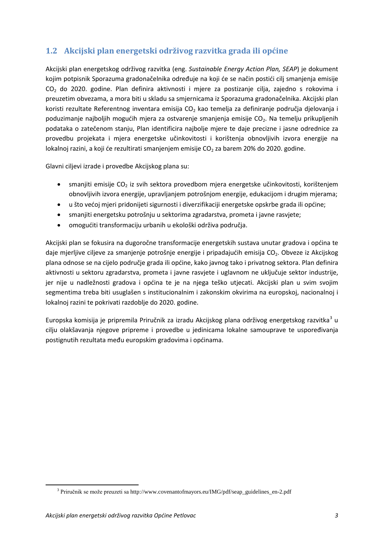## <span id="page-11-0"></span>**1.2 Akcijski plan energetski održivog razvitka grada ili općine**

Akcijski plan energetskog održivog razvitka (eng. *Sustainable Energy Action Plan, SEAP*) je dokument kojim potpisnik Sporazuma gradonačelnika određuje na koji će se način postići cilj smanjenja emisije CO<sup>2</sup> do 2020. godine. Plan definira aktivnosti i mjere za postizanje cilja, zajedno s rokovima i preuzetim obvezama, a mora biti u skladu sa smjernicama iz Sporazuma gradonačelnika. Akcijski plan koristi rezultate Referentnog inventara emisija  $CO<sub>2</sub>$  kao temelja za definiranje područja djelovanja i poduzimanje najboljih mogućih mjera za ostvarenje smanjenja emisije CO<sub>2</sub>. Na temelju prikupljenih podataka o zatečenom stanju, Plan identificira najbolje mjere te daje precizne i jasne odrednice za provedbu projekata i mjera energetske učinkovitosti i korištenja obnovljivih izvora energije na lokalnoj razini, a koji će rezultirati smanjenjem emisije  $CO<sub>2</sub>$  za barem 20% do 2020. godine.

Glavni ciljevi izrade i provedbe Akcijskog plana su:

- smanjiti emisije  $CO<sub>2</sub>$  iz svih sektora provedbom mjera energetske učinkovitosti, korištenjem obnovljivih izvora energije, upravljanjem potrošnjom energije, edukacijom i drugim mjerama;
- u što većoj mjeri pridonijeti sigurnosti i diverzifikaciji energetske opskrbe grada ili općine;
- smanjiti energetsku potrošnju u sektorima zgradarstva, prometa i javne rasvjete;
- omogućiti transformaciju urbanih u ekološki održiva područja.

Akcijski plan se fokusira na dugoročne transformacije energetskih sustava unutar gradova i općina te daje mjerljive ciljeve za smanjenje potrošnje energije i pripadajućih emisija CO<sub>2</sub>. Obveze iz Akcijskog plana odnose se na cijelo područje grada ili općine, kako javnog tako i privatnog sektora. Plan definira aktivnosti u sektoru zgradarstva, prometa i javne rasvjete i uglavnom ne uključuje sektor industrije, jer nije u nadležnosti gradova i općina te je na njega teško utjecati. Akcijski plan u svim svojim segmentima treba biti usuglašen s institucionalnim i zakonskim okvirima na europskoj, nacionalnoj i lokalnoj razini te pokrivati razdoblje do 2020. godine.

Europska komisija je pripremila Priručnik za izradu Akcijskog plana održivog energetskog razvitka<sup>[3](#page-11-1)</sup> u cilju olakšavanja njegove pripreme i provedbe u jedinicama lokalne samouprave te uspoređivanja postignutih rezultata među europskim gradovima i općinama.

<span id="page-11-1"></span><sup>&</sup>lt;sup>3</sup> Priručnik se može preuzeti sa http://www.covenantofmayors.eu/IMG/pdf/seap\_guidelines\_en-2.pdf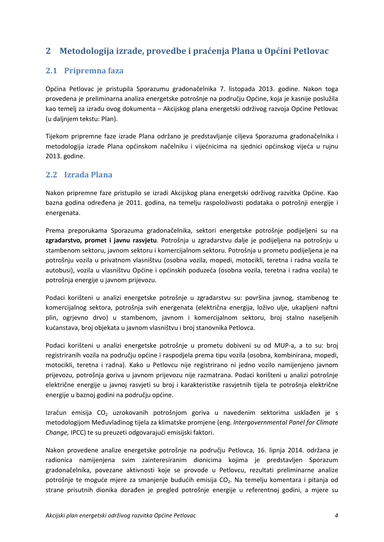## <span id="page-12-0"></span>**2 Metodologija izrade, provedbe i praćenja Plana u Općini Petlovac**

### <span id="page-12-1"></span>**2.1 Pripremna faza**

Općina Petlovac je pristupila Sporazumu gradonačelnika 7. listopada 2013. godine. Nakon toga provedena je preliminarna analiza energetske potrošnje na području Općine, koja je kasnije poslužila kao temelj za izradu ovog dokumenta – Akcijskog plana energetski održivog razvoja Općine Petlovac (u daljnjem tekstu: Plan).

Tijekom pripremne faze izrade Plana održano je predstavljanje ciljeva Sporazuma gradonačelnika i metodologija izrade Plana općinskom načelniku i vijećnicima na sjednici općinskog vijeća u rujnu 2013. godine.

### <span id="page-12-2"></span>**2.2 Izrada Plana**

Nakon pripremne faze pristupilo se izradi Akcijskog plana energetski održivog razvitka Općine. Kao bazna godina određena je 2011. godina, na temelju raspoloživosti podataka o potrošnji energije i energenata.

Prema preporukama Sporazuma gradonačelnika, sektori energetske potrošnje podijeljeni su na **zgradarstvo, promet i javnu rasvjetu**. Potrošnja u zgradarstvu dalje je podijeljena na potrošnju u stambenom sektoru, javnom sektoru i komercijalnom sektoru. Potrošnja u prometu podijeljena je na potrošnju vozila u privatnom vlasništvu (osobna vozila, mopedi, motocikli, teretna i radna vozila te autobusi), vozila u vlasništvu Općine i općinskih poduzeća (osobna vozila, teretna i radna vozila) te potrošnja energije u javnom prijevozu.

Podaci korišteni u analizi energetske potrošnje u zgradarstvu su: površina javnog, stambenog te komercijalnog sektora, potrošnja svih energenata (električna energija, loživo ulje, ukapljeni naftni plin, ogrjevno drvo) u stambenom, javnom i komercijalnom sektoru, broj stalno naseljenih kućanstava, broj objekata u javnom vlasništvu i broj stanovnika Petlovca.

Podaci korišteni u analizi energetske potrošnje u prometu dobiveni su od MUP-a, a to su: broj registriranih vozila na području općine i raspodjela prema tipu vozila (osobna, kombinirana, mopedi, motocikli, teretna i radna). Kako u Petlovcu nije registrirano ni jedno vozilo namijenjeno javnom prijevozu, potrošnja goriva u javnom prijevozu nije razmatrana. Podaci korišteni u analizi potrošnje električne energije u javnoj rasvjeti su broj i karakteristike rasvjetnih tijela te potrošnja električne energije u baznoj godini na području općine.

Izračun emisija  $CO<sub>2</sub>$  uzrokovanih potrošnjom goriva u navedenim sektorima usklađen je s metodologijom Međuvladinog tijela za klimatske promjene (eng. *Intergovernmental Panel for Climate Change,* IPCC) te su preuzeti odgovarajući emisijski faktori.

Nakon provedene analize energetske potrošnje na području Petlovca, 16. lipnja 2014. održana je radionica namijenjena svim zainteresiranim dionicima kojima je predstavljen Sporazum gradonačelnika, povezane aktivnosti koje se provode u Petlovcu, rezultati preliminarne analize potrošnje te moguće mjere za smanjenje budućih emisija CO<sub>2</sub>. Na temelju komentara i pitanja od strane prisutnih dionika dorađen je pregled potrošnje energije u referentnoj godini, a mjere su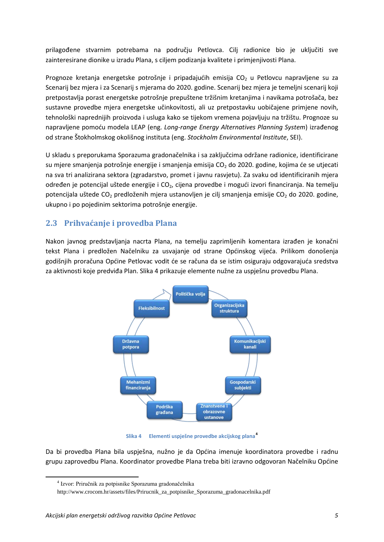prilagođene stvarnim potrebama na području Petlovca. Cilj radionice bio je uključiti sve zainteresirane dionike u izradu Plana, s ciljem podizanja kvalitete i primjenjivosti Plana.

Prognoze kretanja energetske potrošnje i pripadajućih emisija  $CO<sub>2</sub>$  u Petlovcu napravljene su za Scenarij bez mjera i za Scenarij s mjerama do 2020. godine. Scenarij bez mjera je temeljni scenarij koji pretpostavlja porast energetske potrošnje prepuštene tržišnim kretanjima i navikama potrošača, bez sustavne provedbe mjera energetske učinkovitosti, ali uz pretpostavku uobičajene primjene novih, tehnološki naprednijih proizvoda i usluga kako se tijekom vremena pojavljuju na tržištu. Prognoze su napravljene pomoću modela LEAP (eng. *Long-range Energy Alternatives Planning System*) izrađenog od strane Štokholmskog okolišnog instituta (eng. *Stockholm Environmental Institute*, SEI).

U skladu s preporukama Sporazuma gradonačelnika i sa zaključcima održane radionice, identificirane su mjere smanjenja potrošnje energije i smanjenja emisija  $CO<sub>2</sub>$  do 2020. godine, kojima će se utjecati na sva tri analizirana sektora (zgradarstvo, promet i javnu rasvjetu). Za svaku od identificiranih mjera određen je potencijal uštede energije i CO<sub>2</sub>, cijena provedbe i mogući izvori financiranja. Na temelju potencijala uštede CO<sub>2</sub> predloženih mjera ustanovljen je cilj smanjenja emisije CO<sub>2</sub> do 2020. godine, ukupno i po pojedinim sektorima potrošnje energije.

### <span id="page-13-0"></span>**2.3 Prihvaćanje i provedba Plana**

Nakon javnog predstavljanja nacrta Plana, na temelju zaprimljenih komentara izrađen je konačni tekst Plana i predložen Načelniku za usvajanje od strane Općinskog vijeća. Prilikom donošenja godišnjih proračuna Općine Petlovac vodit će se računa da se istim osiguraju odgovarajuća sredstva za aktivnosti koje predviđa Plan. [Slika 4](#page-13-1) prikazuje elemente nužne za uspješnu provedbu Plana.



**Slika 4 Elementi uspješne provedbe akcijskog plana[4](#page-13-2)**

<span id="page-13-2"></span><span id="page-13-1"></span>Da bi provedba Plana bila uspješna, nužno je da Općina imenuje koordinatora provedbe i radnu grupu zaprovedbu Plana. Koordinator provedbe Plana treba biti izravno odgovoran Načelniku Općine

<sup>4</sup> Izvor: Priručnik za potpisnike Sporazuma gradonačelnika

http://www.crocom.hr/assets/files/Prirucnik\_za\_potpisnike\_Sporazuma\_gradonacelnika.pdf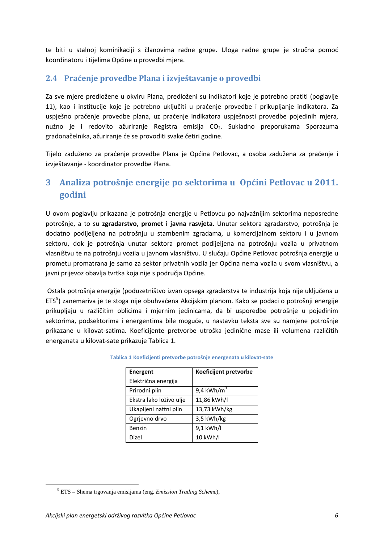te biti u stalnoj kominikaciji s članovima radne grupe. Uloga radne grupe je stručna pomoć koordinatoru i tijelima Općine u provedbi mjera.

### <span id="page-14-0"></span>**2.4 Praćenje provedbe Plana i izvještavanje o provedbi**

Za sve mjere predložene u okviru Plana, predloženi su indikatori koje je potrebno pratiti (poglavlje 11), kao i institucije koje je potrebno uključiti u praćenje provedbe i prikupljanje indikatora. Za uspješno praćenje provedbe plana, uz praćenje indikatora uspješnosti provedbe pojedinih mjera, nužno je i redovito ažuriranje Registra emisija CO<sub>2</sub>. Sukladno preporukama Sporazuma gradonačelnika, ažuriranje će se provoditi svake četiri godine.

Tijelo zaduženo za praćenje provedbe Plana je Općina Petlovac, a osoba zadužena za praćenje i izvještavanje - koordinator provedbe Plana.

## <span id="page-14-1"></span>**3 Analiza potrošnje energije po sektorima u Općini Petlovac u 2011. godini**

U ovom poglavlju prikazana je potrošnja energije u Petlovcu po najvažnijim sektorima neposredne potrošnje, a to su **zgradarstvo, promet i javna rasvjeta**. Unutar sektora zgradarstvo, potrošnja je dodatno podijeljena na potrošnju u stambenim zgradama, u komercijalnom sektoru i u javnom sektoru, dok je potrošnja unutar sektora promet podijeljena na potrošnju vozila u privatnom vlasništvu te na potrošnju vozila u javnom vlasništvu. U slučaju Općine Petlovac potrošnja energije u prometu promatrana je samo za sektor privatnih vozila jer Općina nema vozila u svom vlasništvu, a javni prijevoz obavlja tvrtka koja nije s područja Općine.

<span id="page-14-2"></span>Ostala potrošnja energije (poduzetništvo izvan opsega zgradarstva te industrija koja nije uključena u ETS<sup>[5](#page-14-3)</sup>) zanemariva je te stoga nije obuhvaćena Akcijskim planom. Kako se podaci o potrošnji energije prikupljaju u različitim oblicima i mjernim jedinicama, da bi usporedbe potrošnje u pojedinim sektorima, podsektorima i energentima bile moguće, u nastavku teksta sve su namjene potrošnje prikazane u kilovat-satima. Koeficijente pretvorbe utroška jedinične mase ili volumena različitih energenata u kilovat-sate prikazuje [Tablica 1.](#page-14-2)

| <b>Energent</b>         | Koeficijent pretvorbe    |  |  |
|-------------------------|--------------------------|--|--|
| Električna energija     |                          |  |  |
| Prirodni plin           | $9,4$ kWh/m <sup>3</sup> |  |  |
| Ekstra lako loživo ulje | 11,86 kWh/l              |  |  |
| Ukapljeni naftni plin   | 13,73 kWh/kg             |  |  |
| Ogrjevno drvo           | 3,5 kWh/kg               |  |  |
| Benzin                  | 9,1 kWh/l                |  |  |
| Dizel                   | 10 kWh/l                 |  |  |

#### **Tablica 1 Koeficijenti pretvorbe potrošnje energenata u kilovat-sate**

<span id="page-14-3"></span><sup>5</sup> ETS – Shema trgovanja emisijama (eng. *Emission Trading Scheme*),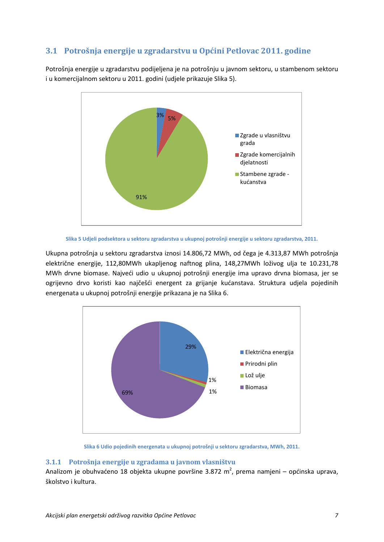### <span id="page-15-0"></span>**3.1 Potrošnja energije u zgradarstvu u Općini Petlovac 2011. godine**

Potrošnja energije u zgradarstvu podijeljena je na potrošnju u javnom sektoru, u stambenom sektoru i u komercijalnom sektoru u 2011. godini (udjele prikazuje [Slika 5](#page-15-2)).



**Slika 5 Udjeli podsektora u sektoru zgradarstva u ukupnoj potrošnji energije u sektoru zgradarstva, 2011.**

<span id="page-15-2"></span>Ukupna potrošnja u sektoru zgradarstva iznosi 14.806,72 MWh, od čega je 4.313,87 MWh potrošnja električne energije, 112,80MWh ukapljenog naftnog plina, 148,27MWh loživog ulja te 10.231,78 MWh drvne biomase. Najveći udio u ukupnoj potrošnji energije ima upravo drvna biomasa, jer se ogrijevno drvo koristi kao najčešći energent za grijanje kućanstava. Struktura udjela pojedinih energenata u ukupnoj potrošnji energije prikazana je na [Slika 6.](#page-15-3)



**Slika 6 Udio pojedinih energenata u ukupnoj potrošnji u sektoru zgradarstva, MWh, 2011.**

#### <span id="page-15-3"></span><span id="page-15-1"></span>**3.1.1 Potrošnja energije u zgradama u javnom vlasništvu**

Analizom je obuhvaćeno 18 objekta ukupne površine 3.872 m<sup>2</sup>, prema namjeni – općinska uprava, školstvo i kultura.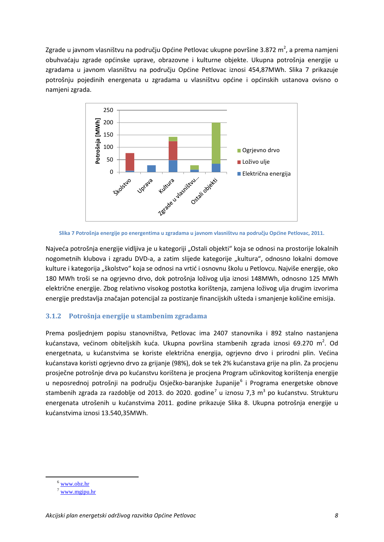Zgrade u javnom vlasništvu na području Općine Petlovac ukupne površine 3.872 m<sup>2</sup>, a prema namjeni obuhvaćaju zgrade općinske uprave, obrazovne i kulturne objekte. Ukupna potrošnja energije u zgradama u javnom vlasništvu na području Općine Petlovac iznosi 454,87MWh. [Slika 7](#page-16-1) prikazuje potrošnju pojedinih energenata u zgradama u vlasništvu općine i općinskih ustanova ovisno o namjeni zgrada.



<span id="page-16-1"></span>

Najveća potrošnja energije vidljiva je u kategoriji "Ostali objekti" koja se odnosi na prostorije lokalnih nogometnih klubova i zgradu DVD-a, a zatim slijede kategorije "kultura", odnosno lokalni domove kulture i kategorija "školstvo" koja se odnosi na vrtić i osnovnu školu u Petlovcu. Najviše energije, oko 180 MWh troši se na ogrjevno drvo, dok potrošnja loživog ulja iznosi 148MWh, odnosno 125 MWh električne energije. Zbog relativno visokog postotka korištenja, zamjena loživog ulja drugim izvorima energije predstavlja značajan potencijal za postizanje financijskih ušteda i smanjenje količine emisija.

#### <span id="page-16-0"></span>**3.1.2 Potrošnja energije u stambenim zgradama**

Prema posljednjem popisu stanovništva, Petlovac ima 2407 stanovnika i 892 stalno nastanjena kućanstava, većinom obiteljskih kuća. Ukupna površina stambenih zgrada iznosi 69.270 m<sup>2</sup>. Od energetnata, u kućanstvima se koriste električna energija, ogrjevno drvo i prirodni plin. Većina kućanstava koristi ogrjevno drvo za grijanje (98%), dok se tek 2% kućanstava grije na plin. Za procjenu prosječne potrošnje drva po kućanstvu korištena je procjena Program učinkovitog korištenja energije u neposrednoj potrošnji na području Osječko-baranjske županije<sup>[6](#page-16-2)</sup> i Programa energetske obnove stambenih zgrada za razdoblje od 2013. do 2020. godine<sup>[7](#page-16-3)</sup> u iznosu 7,3 m<sup>3</sup> po kućanstvu. Strukturu energenata utrošenih u kućanstvima 2011. godine prikazuje [Slika 8.](#page-17-2) Ukupna potrošnja energije u kućanstvima iznosi 13.540,35MWh.

<span id="page-16-2"></span><sup>6</sup> [www.obz.hr](http://www.obz.hr/)

<span id="page-16-3"></span> $7$  www.mgipu.hr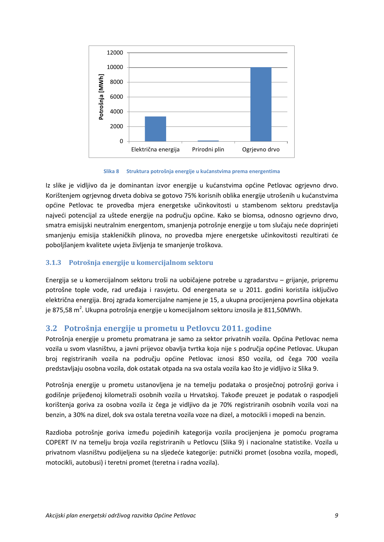

**Slika 8 Struktura potrošnja energije u kućanstvima prema energentima**

<span id="page-17-2"></span>Iz slike je vidljivo da je dominantan izvor energije u kućanstvima općine Petlovac ogrjevno drvo. Korištenjem ogrjevnog drveta dobiva se gotovo 75% korisnih oblika energije utrošenih u kućanstvima općine Petlovac te provedba mjera energetske učinkovitosti u stambenom sektoru predstavlja najveći potencijal za uštede energije na području općine. Kako se biomsa, odnosno ogrjevno drvo, smatra emisijski neutralnim energentom, smanjenja potrošnje energije u tom slučaju neće doprinjeti smanjenju emisija stakleničkih plinova, no provedba mjere energetske učinkovitosti rezultirati će poboljšanjem kvalitete uvjeta življenja te smanjenje troškova.

#### <span id="page-17-0"></span>**3.1.3 Potrošnja energije u komercijalnom sektoru**

Energija se u komercijalnom sektoru troši na uobičajene potrebe u zgradarstvu – grijanje, pripremu potrošne tople vode, rad uređaja i rasvjetu. Od energenata se u 2011. godini koristila isključivo električna energija. Broj zgrada komercijalne namjene je 15, a ukupna procijenjena površina objekata je 875,58 m<sup>2</sup>. Ukupna potrošnja energije u komecijalnom sektoru iznosila je 811,50MWh.

### <span id="page-17-1"></span>**3.2 Potrošnja energije u prometu u Petlovcu 2011. godine**

Potrošnja energije u prometu promatrana je samo za sektor privatnih vozila. Općina Petlovac nema vozila u svom vlasništvu, a javni prijevoz obavlja tvrtka koja nije s područja općine Petlovac. Ukupan broj registriranih vozila na području općine Petlovac iznosi 850 vozila, od čega 700 vozila predstavljaju osobna vozila, dok ostatak otpada na sva ostala vozila kao što je vidljivo iz [Slika 9.](#page-18-2)

Potrošnja energije u prometu ustanovljena je na temelju podataka o prosječnoj potrošnji goriva i godišnje prijeđenoj kilometraži osobnih vozila u Hrvatskoj. Takođe preuzet je podatak o raspodjeli korištenja goriva za osobna vozila iz čega je vidljivo da je 70% registriranih osobnih vozila vozi na benzin, a 30% na dizel, dok sva ostala teretna vozila voze na dizel, a motocikli i mopedi na benzin.

Razdioba potrošnje goriva između pojedinih kategorija vozila procijenjena je pomoću programa COPERT IV na temelju broja vozila registriranih u Petlovcu ([Slika 9](#page-18-2)) i nacionalne statistike. Vozila u privatnom vlasništvu podijeljena su na sljedeće kategorije: putnički promet (osobna vozila, mopedi, motocikli, autobusi) i teretni promet (teretna i radna vozila).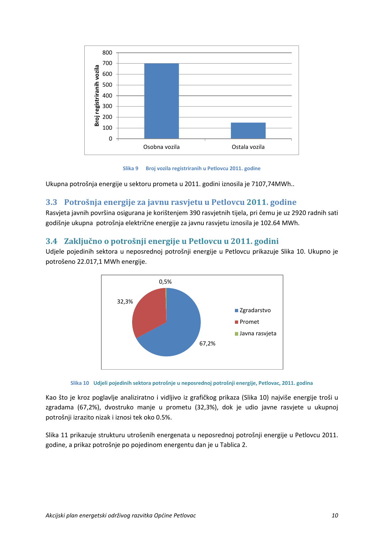

**Slika 9 Broj vozila registriranih u Petlovcu 2011. godine**

<span id="page-18-2"></span>Ukupna potrošnja energije u sektoru prometa u 2011. godini iznosila je 7107,74MWh..

### <span id="page-18-0"></span>**3.3 Potrošnja energije za javnu rasvjetu u Petlovcu 2011. godine**

Rasvjeta javnih površina osigurana je korištenjem 390 rasvjetnih tijela, pri čemu je uz 2920 radnih sati godišnje ukupna potrošnja električne energije za javnu rasvjetu iznosila je 102.64 MWh.

### <span id="page-18-1"></span>**3.4 Zaključno o potrošnji energije u Petlovcu u 2011. godini**

Udjele pojedinih sektora u neposrednoj potrošnji energije u Petlovcu prikazuje [Slika 10.](#page-18-3) Ukupno je potrošeno 22.017,1 MWh energije.





<span id="page-18-3"></span>Kao što je kroz poglavlje analiziratno i vidljivo iz grafičkog prikaza ([Slika 10](#page-18-3)) najviše energije troši u zgradama (67,2%), dvostruko manje u prometu (32,3%), dok je udio javne rasvjete u ukupnoj potrošnji izrazito nizak i iznosi tek oko 0.5%.

[Slika 11](#page-19-1) prikazuje strukturu utrošenih energenata u neposrednoj potrošnji energije u Petlovcu 2011. godine, a prikaz potrošnje po pojedinom energentu dan je u [Tablica 2.](#page-19-2)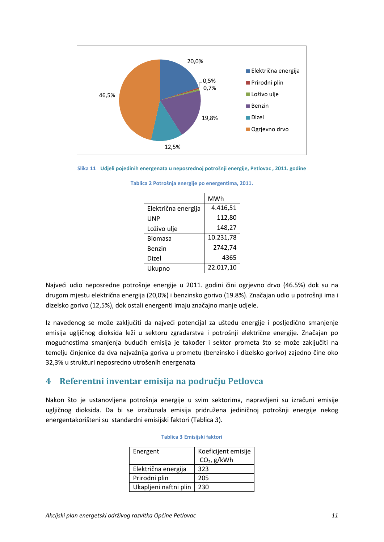

#### <span id="page-19-2"></span><span id="page-19-1"></span>**Slika 11 Udjeli pojedinih energenata u neposrednoj potrošnji energije, Petlovac , 2011. godine**

|  |  | Tablica 2 Potrošnja energije po energentima, 2011. |  |
|--|--|----------------------------------------------------|--|
|  |  |                                                    |  |

|                     | MWh       |
|---------------------|-----------|
| Električna energija | 4.416,51  |
| <b>UNP</b>          | 112,80    |
| Loživo ulje         | 148,27    |
| <b>Biomasa</b>      | 10.231,78 |
| Benzin              | 2742,74   |
| Dizel               | 4365      |
| Ukupno              | 22.017,10 |

Najveći udio neposredne potrošnje energije u 2011. godini čini ogrjevno drvo (46.5%) dok su na drugom mjestu električna energija (20,0%) i benzinsko gorivo (19.8%). Značajan udio u potrošnji ima i dizelsko gorivo (12,5%), dok ostali energenti imaju značajno manje udjele.

Iz navedenog se može zaključiti da najveći potencijal za uštedu energije i posljedično smanjenje emisija ugljičnog dioksida leži u sektoru zgradarstva i potrošnji električne energije. Značajan po mogućnostima smanjenja budućih emisija je također i sektor prometa što se može zaključiti na temelju činjenice da dva najvažnija goriva u prometu (benzinsko i dizelsko gorivo) zajedno čine oko 32,3% u strukturi neposredno utrošenih energenata

## <span id="page-19-0"></span>**4 Referentni inventar emisija na području Petlovca**

<span id="page-19-3"></span>Nakon što je ustanovljena potrošnja energije u svim sektorima, napravljeni su izračuni emisije ugljičnog dioksida. Da bi se izračunala emisija pridružena jediničnoj potrošnji energije nekog energentakorišteni su standardni emisijski faktori ([Tablica 3](#page-19-3)).

| Energent              | Koeficijent emisije<br>$CO2$ , g/kWh |  |  |
|-----------------------|--------------------------------------|--|--|
| Električna energija   | 323                                  |  |  |
| Prirodni plin         | 205                                  |  |  |
| Ukapljeni naftni plin | 230                                  |  |  |

#### **Tablica 3 Emisijski faktori**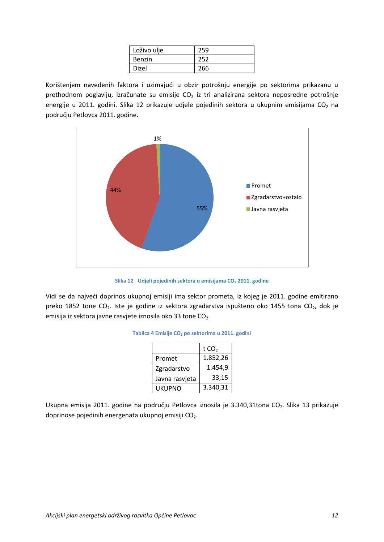| Loživo ulje   | 259 |
|---------------|-----|
| <b>Benzin</b> | 252 |
| Dizel         | 266 |

Korištenjem navedenih faktora i uzimajući u obzir potrošnju energije po sektorima prikazanu u prethodnom poglavlju, izračunate su emisije  $CO<sub>2</sub>$  iz tri analizirana sektora neposredne potrošnje energije u 2011. godini. [Slika 12](#page-20-0) prikazuje udjele pojedinih sektora u ukupnim emisijama CO<sub>2</sub> na području Petlovca 2011. godine.



**Slika 12 Udjeli pojedinih sektora u emisijama CO<sub>2</sub> 2011. godine** 

<span id="page-20-1"></span><span id="page-20-0"></span>Vidi se da najveći doprinos ukupnoj emisiji ima sektor prometa, iz kojeg je 2011. godine emitirano preko 1852 tone CO<sub>2</sub>. Iste je godine iz sektora zgradarstva ispušteno oko 1455 tona CO<sub>2</sub>, dok je emisija iz sektora javne rasvjete iznosila oko 33 tone CO<sub>2</sub>.

|                | t $CO2$  |
|----------------|----------|
| Promet         | 1.852,26 |
| Zgradarstvo    | 1.454,9  |
| Javna rasvjeta | 33,15    |
| UKUPNO         | 3.340,31 |

|  |  |  | Tablica 4 Emisije CO <sub>2</sub> po sektorima u 2011. godini |  |  |  |
|--|--|--|---------------------------------------------------------------|--|--|--|
|--|--|--|---------------------------------------------------------------|--|--|--|

Ukupna emisija 2011. godine na području Petlovca iznosila je 3.340,31tona CO<sub>2</sub>. [Slika 13](#page-21-1) prikazuje doprinose pojedinih energenata ukupnoj emisiji CO<sub>2</sub>.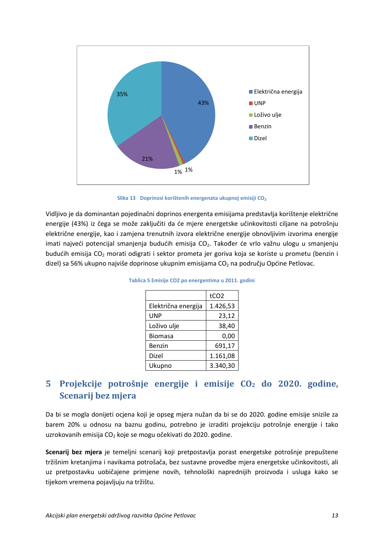

Slika 13 **Doprinosi korištenih energenata ukupnoj emisiji CO<sub>2</sub>** 

<span id="page-21-2"></span><span id="page-21-1"></span>Vidljivo je da dominantan pojedinačni doprinos energenta emisijama predstavlja korištenje električne energije (43%) iz čega se može zaključiti da će mjere energetske učinkovitosti ciljane na potrošnju električne energije, kao i zamjena trenutnih izvora električne energije obnovljivim izvorima energije imati najveći potencijal smanjenja budućih emisija CO<sub>2</sub>. Također će vrlo važnu ulogu u smanjenju budućih emisija CO<sub>2</sub> morati odigrati i sektor prometa jer goriva koja se koriste u prometu (benzin i dizel) sa 56% ukupno najviše doprinose ukupnim emisijama  $CO<sub>2</sub>$ na području Općine Petlovac.

|                     | tCO <sub>2</sub> |
|---------------------|------------------|
| Električna energija | 1.426,53         |
| UNP                 | 23,12            |
| Loživo ulje         | 38,40            |
| <b>Biomasa</b>      | 0,00             |
| Benzin              | 691,17           |
| Dizel               | 1.161,08         |
| Ukupno              | 3.340,30         |

**Tablica 5 Emisije CO2 po energentima u 2011. godini**

## <span id="page-21-0"></span>**5 Projekcije potrošnje energije i emisije CO<sup>2</sup> do 2020. godine, Scenarij bez mjera**

Da bi se mogla donijeti ocjena koji je opseg mjera nužan da bi se do 2020. godine emisije snizile za barem 20% u odnosu na baznu godinu, potrebno je izraditi projekciju potrošnje energije i tako uzrokovanih emisija  $CO<sub>2</sub>$  koje se mogu očekivati do 2020. godine.

**Scenarij bez mjera** je temeljni scenarij koji pretpostavlja porast energetske potrošnje prepuštene tržišnim kretanjima i navikama potrošača, bez sustavne provedbe mjera energetske učinkovitosti, ali uz pretpostavku uobičajene primjene novih, tehnološki naprednijih proizvoda i usluga kako se tijekom vremena pojavljuju na tržištu.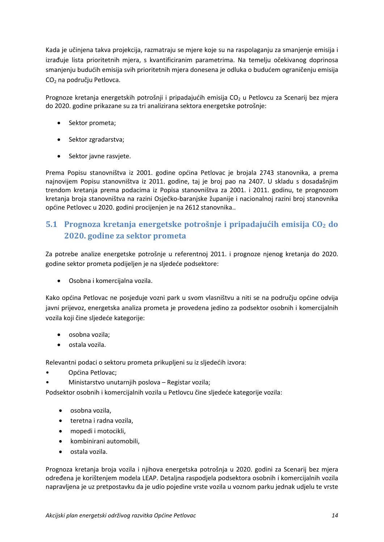Kada je učinjena takva projekcija, razmatraju se mjere koje su na raspolaganju za smanjenje emisija i izrađuje lista prioritetnih mjera, s kvantificiranim parametrima. Na temelju očekivanog doprinosa smanjenju budućih emisija svih prioritetnih mjera donesena je odluka o budućem ograničenju emisija CO<sup>2</sup> na području Petlovca.

Prognoze kretanja energetskih potrošnji i pripadajućih emisija  $CO<sub>2</sub>$  u Petlovcu za Scenarij bez mjera do 2020. godine prikazane su za tri analizirana sektora energetske potrošnje:

- Sektor prometa;
- Sektor zgradarstva;
- Sektor javne rasvjete.

Prema Popisu stanovništva iz 2001. godine općina Petlovac je brojala 2743 stanovnika, a prema najnovijem Popisu stanovništva iz 2011. godine, taj je broj pao na 2407. U skladu s dosadašnjim trendom kretanja prema podacima iz Popisa stanovništva za 2001. i 2011. godinu, te prognozom kretanja broja stanovništva na razini Osječko-baranjske županije i nacionalnoj razini broj stanovnika općine Petlovec u 2020. godini procijenjen je na 2612 stanovnika..

## <span id="page-22-0"></span>**5.1 Prognoza kretanja energetske potrošnje i pripadajućih emisija CO<sup>2</sup> do 2020. godine za sektor prometa**

Za potrebe analize energetske potrošnje u referentnoj 2011. i prognoze njenog kretanja do 2020. godine sektor prometa podijeljen je na sljedeće podsektore:

• Osobna i komercijalna vozila.

Kako općina Petlovac ne posjeduje vozni park u svom vlasništvu a niti se na području općine odvija javni prijevoz, energetska analiza prometa je provedena jedino za podsektor osobnih i komercijalnih vozila koji čine sljedeće kategorije:

- osobna vozila;
- ostala vozila.

Relevantni podaci o sektoru prometa prikupljeni su iz sljedećih izvora:

- Općina Petlovac;
	- Ministarstvo unutarnjih poslova Registar vozila;

Podsektor osobnih i komercijalnih vozila u Petlovcu čine sljedeće kategorije vozila:

- osobna vozila,
- teretna i radna vozila,
- mopedi i motocikli,
- kombinirani automobili,
- ostala vozila.

Prognoza kretanja broja vozila i njihova energetska potrošnja u 2020. godini za Scenarij bez mjera određena je korištenjem modela LEAP. Detaljna raspodjela podsektora osobnih i komercijalnih vozila napravljena je uz pretpostavku da je udio pojedine vrste vozila u voznom parku jednak udjelu te vrste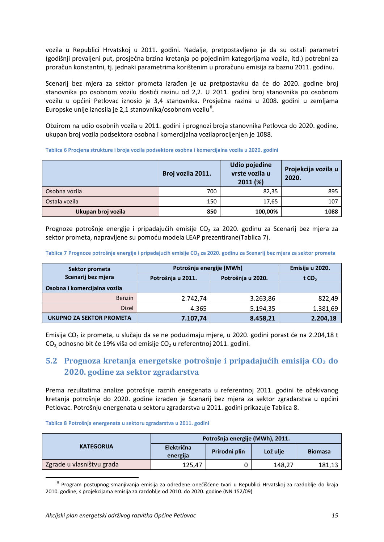vozila u Republici Hrvatskoj u 2011. godini. Nadalje, pretpostavljeno je da su ostali parametri (godišnji prevaljeni put, prosječna brzina kretanja po pojedinim kategorijama vozila, itd.) potrebni za proračun konstantni, tj. jednaki parametrima korištenim u proračunu emisija za baznu 2011. godinu.

Scenarij bez mjera za sektor prometa izrađen je uz pretpostavku da će do 2020. godine broj stanovnika po osobnom vozilu dostići razinu od 2,2. U 2011. godini broj stanovnika po osobnom vozilu u općini Petlovac iznosio je 3,4 stanovnika. Prosječna razina u 2008. godini u zemljama Europske unije iznosila je 2,1 stanovnika/osobnom vozilu $^8$  $^8$ .

Obzirom na udio osobnih vozila u 2011. godini i prognozi broja stanovnika Petlovca do 2020. godine, ukupan broj vozila podsektora osobna i komercijalna vozilaprocijenjen je 1088.

<span id="page-23-1"></span>**Tablica 6 Procjena strukture i broja vozila podsektora osobna i komercijalna vozila u 2020. godini**

|                    | Broj vozila 2011. | <b>Udio pojedine</b><br>vrste vozila u<br>2011(%) | Projekcija vozila u<br>2020. |
|--------------------|-------------------|---------------------------------------------------|------------------------------|
| Osobna vozila      | 700               | 82,35                                             | 895                          |
| Ostala vozila      | 150               | 17,65                                             | 107                          |
| Ukupan broj vozila | 850               | 100,00%                                           | 1088                         |

Prognoze potrošnje energije i pripadajućih emisije  $CO<sub>2</sub>$  za 2020. godinu za Scenarij bez mjera za sektor prometa, napravljene su pomoću modela LEAP prezentirane([Tablica 7](#page-23-2)).

<span id="page-23-2"></span>**Tablica 7 Prognoze potrošnje energije i pripadajućih emisije CO2 za 2020. godinu za Scenarij bez mjera za sektor prometa**

| Sektor prometa               | Potrošnja energije (MWh) | Emisija u 2020.   |                   |  |
|------------------------------|--------------------------|-------------------|-------------------|--|
| Scenarij bez mjera           | Potrošnja u 2011.        | Potrošnja u 2020. | t CO <sub>2</sub> |  |
| Osobna i komercijalna vozila |                          |                   |                   |  |
| <b>Benzin</b>                | 2.742,74                 | 3.263,86          | 822,49            |  |
| <b>Dizel</b>                 | 4.365                    | 5.194,35          | 1.381,69          |  |
| UKUPNO ZA SEKTOR PROMETA     | 7.107,74                 | 8.458,21          | 2.204,18          |  |

Emisija CO<sup>2</sup> iz prometa, u slučaju da se ne poduzimaju mjere, u 2020. godini porast će na 2.204,18 t  $CO<sub>2</sub>$  odnosno bit će 19% viša od emisije  $CO<sub>2</sub>$  u referentnoj 2011. godini.

## <span id="page-23-0"></span>**5.2 Prognoza kretanja energetske potrošnje i pripadajućih emisija CO<sup>2</sup> do 2020. godine za sektor zgradarstva**

Prema rezultatima analize potrošnje raznih energenata u referentnoj 2011. godini te očekivanog kretanja potrošnje do 2020. godine izrađen je Scenarij bez mjera za sektor zgradarstva u općini Petlovac. Potrošnju energenata u sektoru zgradarstva u 2011. godini prikazuj[e Tablica 8.](#page-23-3)

#### <span id="page-23-3"></span>**Tablica 8 Potrošnja energenata u sektoru zgradarstva u 2011. godini**

|                           | Potrošnja energije (MWh), 2011. |               |          |                |
|---------------------------|---------------------------------|---------------|----------|----------------|
| <b>KATEGORIJA</b>         | <b>Električna</b><br>energija   | Prirodni plin | Lož ulje | <b>Biomasa</b> |
| Zgrade u vlasništvu grada | 125.47                          |               | 148.27   | 181,13         |

<span id="page-23-4"></span> <sup>8</sup> Program postupnog smanjivanja emisija za određene onečišćene tvari u Republici Hrvatskoj za razdoblje do kraja 2010. godine, s projekcijama emisija za razdoblje od 2010. do 2020. godine (NN 152/09)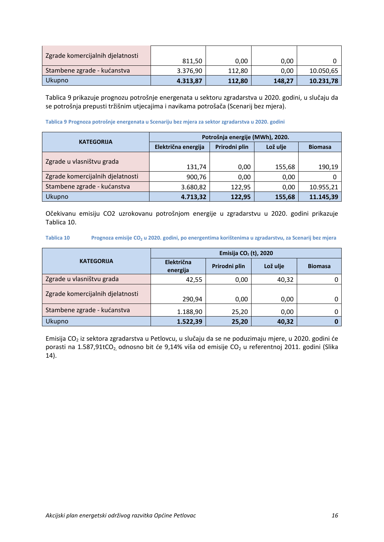| Zgrade komercijalnih djelatnosti | 811,50   | 0.00   | 0,00   |           |
|----------------------------------|----------|--------|--------|-----------|
| Stambene zgrade - kućanstva      | 3.376,90 | 112,80 | 0,00   | 10.050,65 |
| <b>Ukupno</b>                    | 4.313,87 | 112,80 | 148,27 | 10.231,78 |

[Tablica 9](#page-24-0) prikazuje prognozu potrošnje energenata u sektoru zgradarstva u 2020. godini, u slučaju da se potrošnja prepusti tržišnim utjecajima i navikama potrošača (Scenarij bez mjera).

#### <span id="page-24-0"></span>**Tablica 9 Prognoza potrošnje energenata u Scenariju bez mjera za sektor zgradarstva u 2020. godini**

|                                  | Potrošnja energije (MWh), 2020. |               |          |                |  |
|----------------------------------|---------------------------------|---------------|----------|----------------|--|
| <b>KATEGORIJA</b>                | Električna energija             | Prirodni plin | Lož ulje | <b>Biomasa</b> |  |
| Zgrade u vlasništvu grada        |                                 |               |          |                |  |
|                                  | 131,74                          | 0,00          | 155,68   | 190,19         |  |
| Zgrade komercijalnih djelatnosti | 900,76                          | 0,00          | 0,00     |                |  |
| Stambene zgrade - kućanstva      | 3.680,82                        | 122,95        | 0.00     | 10.955,21      |  |
| Ukupno                           | 4.713,32                        | 122,95        | 155,68   | 11.145,39      |  |

Očekivanu emisiju CO2 uzrokovanu potrošnjom energije u zgradarstvu u 2020. godini prikazuje [Tablica 10.](#page-24-1)

<span id="page-24-1"></span>**Tablica 10 Prognoza emisije CO2 u 2020. godini, po energentima korištenima u zgradarstvu, za Scenarij bez mjera**

|                                  | Emisija CO <sub>2</sub> (t), 2020 |               |          |                |  |
|----------------------------------|-----------------------------------|---------------|----------|----------------|--|
| <b>KATEGORIJA</b>                | Električna<br>energija            | Prirodni plin | Lož ulje | <b>Biomasa</b> |  |
| Zgrade u vlasništvu grada        | 42,55                             | 0,00          | 40,32    |                |  |
| Zgrade komercijalnih djelatnosti | 290,94                            | 0,00          | 0,00     | 0              |  |
| Stambene zgrade - kućanstva      | 1.188,90                          | 25,20         | 0,00     | 0              |  |
| <b>Ukupno</b>                    | 1.522,39                          | 25,20         | 40,32    | 0              |  |

Emisija CO<sub>2</sub> iz sektora zgradarstva u Petlovcu, u slučaju da se ne poduzimaju mjere, u 2020. godini će porasti na 1.587,91tCO<sub>2</sub> odnosno bit će 9,14% viša od emisije CO<sub>2</sub> u referentnoj 2011. godini (Slika [14](#page-25-2)).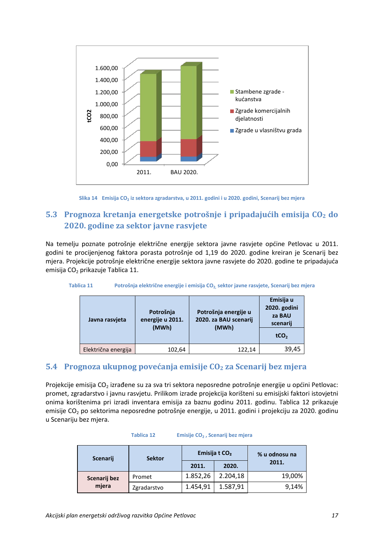

**Slika 14 Emisija CO<sup>2</sup> iz sektora zgradarstva, u 2011. godini i u 2020. godini, Scenarij bez mjera**

## <span id="page-25-2"></span><span id="page-25-0"></span>**5.3 Prognoza kretanja energetske potrošnje i pripadajućih emisija CO<sup>2</sup> do 2020. godine za sektor javne rasvjete**

Na temelju poznate potrošnje električne energije sektora javne rasvjete općine Petlovac u 2011. godini te procijenjenog faktora porasta potrošnje od 1,19 do 2020. godine kreiran je Scenarij bez mjera. Projekcije potrošnje električne energije sektora javne rasvjete do 2020. godine te pripadajuća emisija CO<sub>2</sub> prikazuje [Tablica 11.](#page-25-3)

<span id="page-25-3"></span>

| Javna rasvieta      | Potrošnja<br>energije u 2011.<br>(MWh) | Potrošnja energije u<br>2020. za BAU scenarij<br>(MWh) | Emisija u<br>2020. godini<br>za BAU<br>scenarij<br>tCO <sub>2</sub> |
|---------------------|----------------------------------------|--------------------------------------------------------|---------------------------------------------------------------------|
| Električna energija | 102,64                                 | 122,14                                                 | 39,45                                                               |

## <span id="page-25-1"></span>**5.4 Prognoza ukupnog povećanja emisije CO<sup>2</sup> za Scenarij bez mjera**

Projekcije emisija CO<sub>2</sub> izrađene su za sva tri sektora neposredne potrošnje energije u općini Petlovac: promet, zgradarstvo i javnu rasvjetu. Prilikom izrade projekcija korišteni su emisijski faktori istovjetni onima korištenima pri izradi inventara emisija za baznu godinu 2011. godinu. [Tablica 12](#page-25-4) prikazuje emisije CO<sub>2</sub> po sektorima neposredne potrošnje energije, u 2011. godini i projekciju za 2020. godinu u Scenariju bez mjera.

<span id="page-25-4"></span>

| <b>Sektor</b><br><b>Scenarij</b> |             |          | Emisija t CO <sub>2</sub><br>% u odnosu na |        |
|----------------------------------|-------------|----------|--------------------------------------------|--------|
|                                  |             | 2011.    | 2020.                                      | 2011.  |
| Scenarij bez                     | Promet      | 1.852,26 | 2.204,18                                   | 19,00% |
| mjera                            | Zgradarstvo | 1.454,91 | 1.587,91                                   | 9,14%  |

#### **Tablica 12 Emisije CO<sup>2</sup> , Scenarij bez mjera**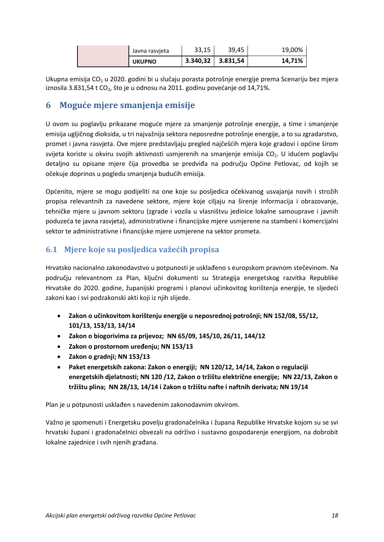| <b>UKUPNO</b>  | 3.340,32 | 3.831,54 | 14,71% |
|----------------|----------|----------|--------|
| Javna rasvjeta | 33,15    | 39.45    | 19,00% |

Ukupna emisija CO<sub>2</sub> u 2020. godini bi u slučaju porasta potrošnje energije prema Scenariju bez mjera iznosila 3.831,54 t CO<sub>2</sub>, što je u odnosu na 2011. godinu povećanje od 14,71%.

## <span id="page-26-0"></span>**6 Moguće mjere smanjenja emisije**

U ovom su poglavlju prikazane moguće mjere za smanjenje potrošnje energije, a time i smanjenje emisija ugljičnog dioksida, u tri najvažnija sektora neposredne potrošnje energije, a to su zgradarstvo, promet i javna rasvjeta. Ove mjere predstavljaju pregled najčešćih mjera koje gradovi i općine širom svijeta koriste u okviru svojih aktivnosti usmjerenih na smanjenje emisija CO<sub>2</sub>. U idućem poglavlju detaljno su opisane mjere čija provedba se predviđa na području Općine Petlovac, od kojih se očekuje doprinos u pogledu smanjenja budućih emisija.

Općenito, mjere se mogu podijeliti na one koje su posljedica očekivanog usvajanja novih i strožih propisa relevantnih za navedene sektore, mjere koje ciljaju na širenje informacija i obrazovanje, tehničke mjere u javnom sektoru (zgrade i vozila u vlasništvu jedinice lokalne samouprave i javnih poduzeća te javna rasvjeta), administrativne i financijske mjere usmjerene na stambeni i komercijalni sektor te administrativne i financijske mjere usmjerene na sektor prometa.

## <span id="page-26-1"></span>**6.1 Mjere koje su posljedica važećih propisa**

Hrvatsko nacionalno zakonodavstvo u potpunosti je usklađeno s europskom pravnom stečevinom. Na području relevantnom za Plan, ključni dokumenti su Strategija energetskog razvitka Republike Hrvatske do 2020. godine, županijski programi i planovi učinkovitog korištenja energije, te sljedeći zakoni kao i svi podzakonski akti koji iz njih slijede.

- **Zakon o učinkovitom korištenju energije u neposrednoj potrošnji; NN 152/08, 55/12, 101/13, 153/13, 14/14**
- **Zakon o biogorivima za prijevoz; NN 65/09, 145/10, 26/11, 144/12**
- **Zakon o prostornom uređenju; NN 153/13**
- **Zakon o gradnji; NN 153/13**
- **Paket energetskih zakona: Zakon o energiji; NN 120/12, 14/14, Zakon o regulaciji energetskih djelatnosti; NN 120 /12, Zakon o tržištu električne energije; NN 22/13, Zakon o tržištu plina; NN 28/13, 14/14 i Zakon o tržištu nafte i naftnih derivata; NN 19/14**

Plan je u potpunosti usklađen s navedenim zakonodavnim okvirom.

Važno je spomenuti i Energetsku povelju gradonačelnika i župana Republike Hrvatske kojom su se svi hrvatski župani i gradonačelnici obvezali na održivo i sustavno gospodarenje energijom, na dobrobit lokalne zajednice i svih njenih građana.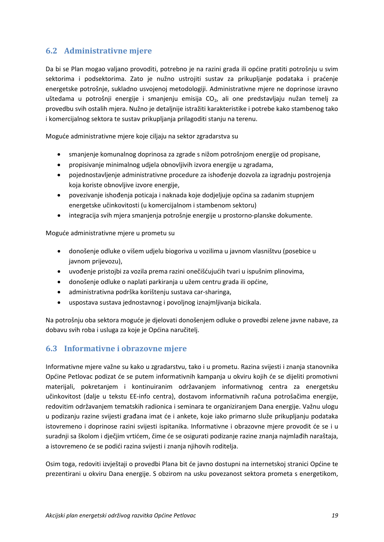### <span id="page-27-0"></span>**6.2 Administrativne mjere**

Da bi se Plan mogao valjano provoditi, potrebno je na razini grada ili općine pratiti potrošnju u svim sektorima i podsektorima. Zato je nužno ustrojiti sustav za prikupljanje podataka i praćenje energetske potrošnje, sukladno usvojenoj metodologiji. Administrativne mjere ne doprinose izravno uštedama u potrošnji energije i smanjenju emisija  $CO<sub>2</sub>$ , ali one predstavljaju nužan temelj za provedbu svih ostalih mjera. Nužno je detaljnije istražiti karakteristike i potrebe kako stambenog tako i komercijalnog sektora te sustav prikupljanja prilagoditi stanju na terenu.

Moguće administrativne mjere koje ciljaju na sektor zgradarstva su

- smanjenje komunalnog doprinosa za zgrade s nižom potrošnjom energije od propisane,
- propisivanje minimalnog udjela obnovljivih izvora energije u zgradama,
- pojednostavljenje administrativne procedure za ishođenje dozvola za izgradnju postrojenja koja koriste obnovljive izvore energije,
- povezivanje ishođenja poticaja i naknada koje dodjeljuje općina sa zadanim stupnjem energetske učinkovitosti (u komercijalnom i stambenom sektoru)
- integracija svih mjera smanjenja potrošnje energije u prostorno-planske dokumente.

Moguće administrativne mjere u prometu su

- donošenje odluke o višem udjelu biogoriva u vozilima u javnom vlasništvu (posebice u javnom prijevozu),
- uvođenje pristojbi za vozila prema razini onečišćujućih tvari u ispušnim plinovima,
- donošenje odluke o naplati parkiranja u užem centru grada ili općine,
- administrativna podrška korištenju sustava car-sharinga,
- uspostava sustava jednostavnog i povoljnog iznajmljivanja bicikala.

Na potrošnju oba sektora moguće je djelovati donošenjem odluke o provedbi zelene javne nabave, za dobavu svih roba i usluga za koje je Općina naručitelj.

#### <span id="page-27-1"></span>**6.3 Informativne i obrazovne mjere**

Informativne mjere važne su kako u zgradarstvu, tako i u prometu. Razina svijesti i znanja stanovnika Općine Petlovac podizat će se putem informativnih kampanja u okviru kojih će se dijeliti promotivni materijali, pokretanjem i kontinuiranim održavanjem informativnog centra za energetsku učinkovitost (dalje u tekstu EE-info centra), dostavom informativnih računa potrošačima energije, redovitim održavanjem tematskih radionica i seminara te organiziranjem Dana energije. Važnu ulogu u podizanju razine svijesti građana imat će i ankete, koje iako primarno služe prikupljanju podataka istovremeno i doprinose razini svijesti ispitanika. Informativne i obrazovne mjere provodit će se i u suradnji sa školom i dječjim vrtićem, čime će se osigurati podizanje razine znanja najmlađih naraštaja, a istovremeno će se podići razina svijesti i znanja njihovih roditelja.

Osim toga, redoviti izvještaji o provedbi Plana bit će javno dostupni na internetskoj stranici Općine te prezentirani u okviru Dana energije. S obzirom na usku povezanost sektora prometa s energetikom,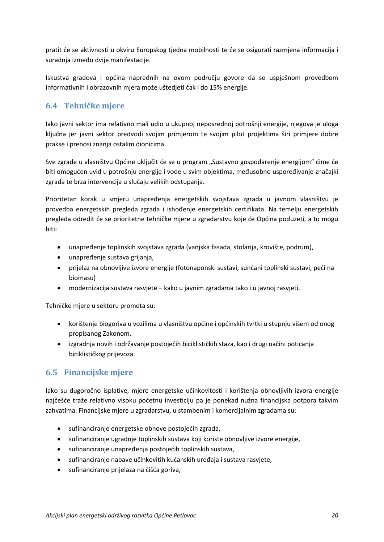pratit će se aktivnosti u okviru Europskog tjedna mobilnosti te će se osigurati razmjena informacija i suradnja između dvije manifestacije.

Iskustva gradova i općina naprednih na ovom području govore da se uspješnom provedbom informativnih i obrazovnih mjera može uštedjeti čak i do 15% energije.

### <span id="page-28-0"></span>**6.4 Tehničke mjere**

Iako javni sektor ima relativno mali udio u ukupnoj neposrednoj potrošnji energije, njegova je uloga ključna jer javni sektor predvodi svojim primjerom te svojim pilot projektima širi primjere dobre prakse i prenosi znanja ostalim dionicima.

Sve zgrade u vlasništvu Općine uključit će se u program "Sustavno gospodarenje energijom" čime će biti omogućen uvid u potrošnju energije i vode u svim objektima, međusobno uspoređivanje značajki zgrada te brza intervencija u slučaju velikih odstupanja.

Prioritetan korak u smjeru unapređenja energetskih svojstava zgrada u javnom vlasništvu je provedba energetskih pregleda zgrada i ishođenje energetskih certifikata. Na temelju energetskih pregleda odredit će se prioritetne tehničke mjere u zgradarstvu koje će Općina poduzeti, a to mogu biti:

- unapređenje toplinskih svojstava zgrada (vanjska fasada, stolarija, krovište, podrum),
- unapređenje sustava grijanja,
- prijelaz na obnovljive izvore energije (fotonaponski sustavi, sunčani toplinski sustavi, peći na biomasu)
- modernizacija sustava rasvjete kako u javnim zgradama tako i u javnoj rasvjeti,

Tehničke mjere u sektoru prometa su:

- korištenje biogoriva u vozilima u vlasništvu općine i općinskih tvrtki u stupnju višem od onog propisanog Zakonom,
- izgradnja novih i održavanje postojećih biciklističkih staza, kao i drugi načini poticanja biciklističkog prijevoza.

### <span id="page-28-1"></span>**6.5 Financijske mjere**

Iako su dugoročno isplative, mjere energetske učinkovitosti i korištenja obnovljivih izvora energije najčešće traže relativno visoku početnu investiciju pa je ponekad nužna financijska potpora takvim zahvatima. Financijske mjere u zgradarstvu, u stambenim i komercijalnim zgradama su:

- sufinanciranje energetske obnove postojećih zgrada,
- sufinanciranje ugradnje toplinskih sustava koji koriste obnovljive izvore energije,
- sufinanciranje unapređenja postojećih toplinskih sustava,
- sufinanciranje nabave učinkovitih kućanskih uređaja i sustava rasvjete,
- sufinanciranje prijelaza na čišća goriva,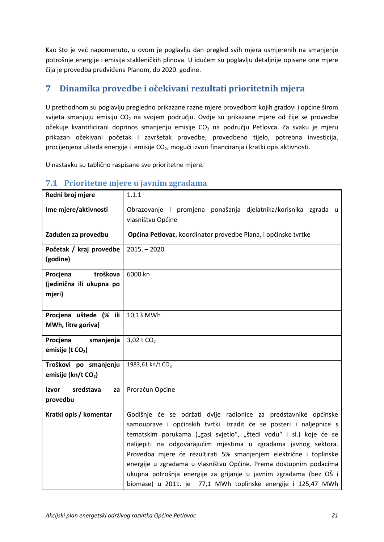Kao što je već napomenuto, u ovom je poglavlju dan pregled svih mjera usmjerenih na smanjenje potrošnje energije i emisija stakleničkih plinova. U idućem su poglavlju detaljnije opisane one mjere čija je provedba predviđena Planom, do 2020. godine.

## <span id="page-29-0"></span>**7 Dinamika provedbe i očekivani rezultati prioritetnih mjera**

U prethodnom su poglavlju pregledno prikazane razne mjere provedbom kojih gradovi i općine širom svijeta smanjuju emisiju  $CO<sub>2</sub>$  na svojem području. Ovdje su prikazane mjere od čije se provedbe očekuje kvantificirani doprinos smanjenju emisije  $CO<sub>2</sub>$  na području Petlovca. Za svaku je mjeru prikazan očekivani početak i završetak provedbe, provedbeno tijelo, potrebna investicija, procijenjena ušteda energije i emisije CO<sub>2</sub>, mogući izvori financiranja i kratki opis aktivnosti.

U nastavku su tablično raspisane sve prioritetne mjere.

| Redni broj mjere                                           | 1.1.1                                                                                                                                                                                                                                                                                                                                                                                                                                                                                                                                                           |
|------------------------------------------------------------|-----------------------------------------------------------------------------------------------------------------------------------------------------------------------------------------------------------------------------------------------------------------------------------------------------------------------------------------------------------------------------------------------------------------------------------------------------------------------------------------------------------------------------------------------------------------|
| Ime mjere/aktivnosti                                       | Obrazovanje i promjena ponašanja djelatnika/korisnika zgrada u<br>vlasništvu Općine                                                                                                                                                                                                                                                                                                                                                                                                                                                                             |
| Zadužen za provedbu                                        | Općina Petlovac, koordinator provedbe Plana, i općinske tvrtke                                                                                                                                                                                                                                                                                                                                                                                                                                                                                                  |
| Početak / kraj provedbe<br>(godine)                        | $2015. - 2020.$                                                                                                                                                                                                                                                                                                                                                                                                                                                                                                                                                 |
| troškova<br>Procjena<br>(jedinična ili ukupna po<br>mjeri) | 6000 kn                                                                                                                                                                                                                                                                                                                                                                                                                                                                                                                                                         |
| Procjena uštede (% ili<br>MWh, litre goriva)               | 10,13 MWh                                                                                                                                                                                                                                                                                                                                                                                                                                                                                                                                                       |
| Procjena<br>smanjenja<br>emisije (t CO <sub>2</sub> )      | 3,02 t $CO2$                                                                                                                                                                                                                                                                                                                                                                                                                                                                                                                                                    |
| Troškovi po smanjenju<br>emisije (kn/t CO <sub>2</sub> )   | 1983,61 kn/t CO <sub>2</sub>                                                                                                                                                                                                                                                                                                                                                                                                                                                                                                                                    |
| sredstava<br>Izvor<br>za<br>provedbu                       | Proračun Općine                                                                                                                                                                                                                                                                                                                                                                                                                                                                                                                                                 |
| Kratki opis / komentar                                     | Godišnje će se održati dvije radionice za predstavnike općinske<br>samouprave i općinskih tvrtki. Izradit će se posteri i naljepnice s<br>tematskim porukama ("gasi svjetlo", "štedi vodu" i sl.) koje će se<br>nalijepiti na odgovarajućim mjestima u zgradama javnog sektora.<br>Provedba mjere će rezultirati 5% smanjenjem električne i toplinske<br>energije u zgradama u vlasništvu Općine. Prema dostupnim podacima<br>ukupna potrošnja energije za grijanje u javnim zgradama (bez OŠ i<br>biomase) u 2011. je 77,1 MWh toplinske energije i 125,47 MWh |

#### <span id="page-29-1"></span>**7.1 Prioritetne mjere u javnim zgradama**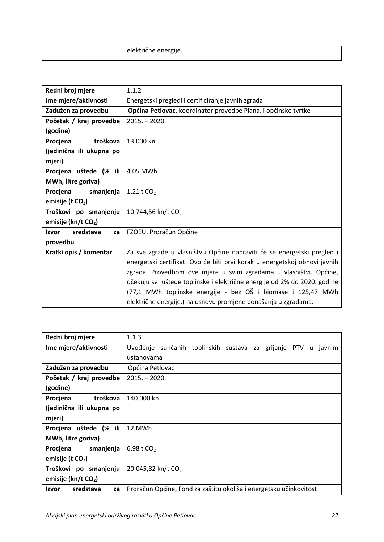|  | And And I La<br>elektriche energije. |
|--|--------------------------------------|
|--|--------------------------------------|

| Redni broj mjere                | 1.1.2                                                                     |
|---------------------------------|---------------------------------------------------------------------------|
| Ime mjere/aktivnosti            | Energetski pregledi i certificiranje javnih zgrada                        |
| Zadužen za provedbu             | Općina Petlovac, koordinator provedbe Plana, i općinske tvrtke            |
| Početak / kraj provedbe         | $2015. - 2020.$                                                           |
| (godine)                        |                                                                           |
| Procjena<br>troškova            | 13.000 kn                                                                 |
| (jedinična ili ukupna po        |                                                                           |
| mjeri)                          |                                                                           |
| Procjena uštede (% ili          | 4.05 MWh                                                                  |
| MWh, litre goriva)              |                                                                           |
| smanjenja<br>Procjena           | 1,21 t $CO2$                                                              |
| emisije (t $CO2$ )              |                                                                           |
| Troškovi po smanjenju           | 10.744,56 kn/t CO <sub>2</sub>                                            |
| emisije (kn/t CO <sub>2</sub> ) |                                                                           |
| sredstava<br>Izvor<br>za        | FZOEU, Proračun Općine                                                    |
| provedbu                        |                                                                           |
| Kratki opis / komentar          | Za sve zgrade u vlasništvu Općine napraviti će se energetski pregled i    |
|                                 | energetski certifikat. Ovo će biti prvi korak u energetskoj obnovi javnih |
|                                 | zgrada. Provedbom ove mjere u svim zgradama u vlasništvu Općine,          |
|                                 | očekuju se uštede toplinske i električne energije od 2% do 2020. godine   |
|                                 | (77,1 MWh toplinske energije - bez OŠ i biomase i 125,47 MWh              |
|                                 | električne energije.) na osnovu promjene ponašanja u zgradama.            |

| Redni broj mjere                   | 1.1.3                                                               |
|------------------------------------|---------------------------------------------------------------------|
| Ime mjere/aktivnosti               | Uvođenje sunčanih toplinskih sustava za grijanje PTV<br>javnim<br>u |
|                                    | ustanovama                                                          |
| Zadužen za provedbu                | Općina Petlovac                                                     |
| Početak / kraj provedbe            | $2015. - 2020.$                                                     |
| (godine)                           |                                                                     |
| Procjena<br>troškova               | 140.000 kn                                                          |
| (jedinična ili ukupna po           |                                                                     |
| mjeri)                             |                                                                     |
| Procjena uštede (% ili             | 12 MWh                                                              |
| MWh, litre goriva)                 |                                                                     |
| Procjena<br>smanjenja              | 6,98 t $CO2$                                                        |
| emisije (t $CO2$ )                 |                                                                     |
| Troškovi po smanjenju              | 20.045,82 kn/t CO <sub>2</sub>                                      |
| emisije ( $kn/t$ CO <sub>2</sub> ) |                                                                     |
| sredstava<br>Izvor<br>za           | Proračun Općine, Fond za zaštitu okoliša i energetsku učinkovitost  |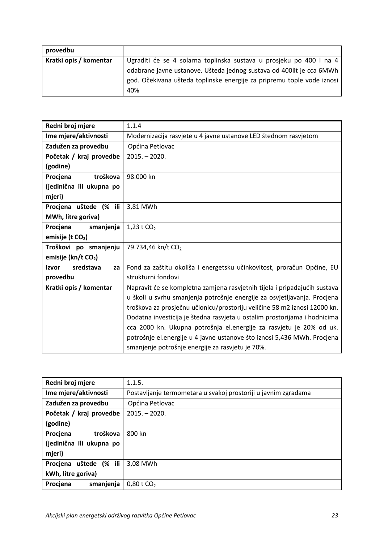| provedbu               |                                                                        |
|------------------------|------------------------------------------------------------------------|
| Kratki opis / komentar | Ugraditi će se 4 solarna toplinska sustava u prosjeku po 400 l na 4    |
|                        | odabrane javne ustanove. Ušteda jednog sustava od 400lit je cca 6MWh   |
|                        | god. Očekivana ušteda toplinske energije za pripremu tople vode iznosi |
|                        | 40%                                                                    |

| Redni broj mjere                | 1.1.4                                                                     |
|---------------------------------|---------------------------------------------------------------------------|
| Ime mjere/aktivnosti            | Modernizacija rasvjete u 4 javne ustanove LED štednom rasvjetom           |
| Zadužen za provedbu             | Općina Petlovac                                                           |
| Početak / kraj provedbe         | $2015. - 2020.$                                                           |
| (godine)                        |                                                                           |
| troškova<br>Procjena            | 98,000 kn                                                                 |
| (jedinična ili ukupna po        |                                                                           |
| mjeri)                          |                                                                           |
| Procjena uštede (% ili          | 3,81 MWh                                                                  |
| MWh, litre goriva)              |                                                                           |
| Procjena<br>smanjenja           | 1,23 t $CO2$                                                              |
| emisije (t CO <sub>2</sub> )    |                                                                           |
| Troškovi po smanjenju           | 79.734,46 kn/t CO <sub>2</sub>                                            |
| emisije (kn/t CO <sub>2</sub> ) |                                                                           |
| sredstava<br><b>Izvor</b><br>za | Fond za zaštitu okoliša i energetsku učinkovitost, proračun Općine, EU    |
| provedbu                        | strukturni fondovi                                                        |
| Kratki opis / komentar          | Napravit će se kompletna zamjena rasvjetnih tijela i pripadajućih sustava |
|                                 | u školi u svrhu smanjenja potrošnje energije za osvjetljavanja. Procjena  |
|                                 | troškova za prosječnu učionicu/prostoriju veličine 58 m2 iznosi 12000 kn. |
|                                 | Dodatna investicija je štedna rasvjeta u ostalim prostorijama i hodnicima |
|                                 | cca 2000 kn. Ukupna potrošnja el.energije za rasvjetu je 20% od uk.       |
|                                 | potrošnje el.energije u 4 javne ustanove što iznosi 5,436 MWh. Procjena   |
|                                 | smanjenje potrošnje energije za rasvjetu je 70%.                          |

| Redni broj mjere            | 1.1.5.                                                         |
|-----------------------------|----------------------------------------------------------------|
| Ime mjere/aktivnosti        | Postavljanje termometara u svakoj prostoriji u javnim zgradama |
| Zadužen za provedbu         | Općina Petlovac                                                |
| Početak / kraj provedbe     | $2015. - 2020.$                                                |
| (godine)                    |                                                                |
| troškova<br>Procjena        | 800 kn                                                         |
| (jedinična ili ukupna po    |                                                                |
| mjeri)                      |                                                                |
| $(%$ ili<br>Procjena uštede | 3,08 MWh                                                       |
| kWh, litre goriva)          |                                                                |
| Procjena<br>smanjenja       | $0,80$ t CO <sub>2</sub>                                       |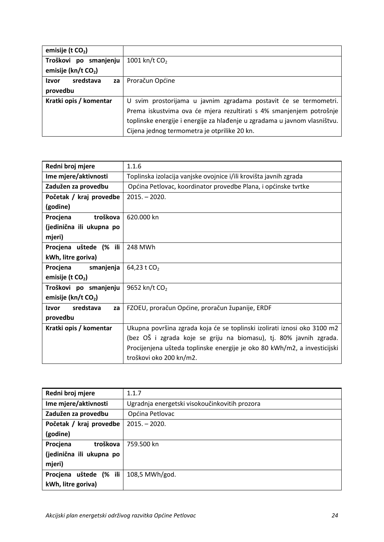| emisije (t $CO2$ )              |                                                                           |
|---------------------------------|---------------------------------------------------------------------------|
| Troškovi po smanjenju           | 1001 kn/t CO <sub>2</sub>                                                 |
| emisije (kn/t CO <sub>2</sub> ) |                                                                           |
| sredstava<br>Izvor<br>za        | Proračun Općine                                                           |
| provedbu                        |                                                                           |
| Kratki opis / komentar          | U svim prostorijama u javnim zgradama postavit će se termometri.          |
|                                 | Prema iskustvima ova će mjera rezultirati s 4% smanjenjem potrošnje       |
|                                 | toplinske energije i energije za hlađenje u zgradama u javnom vlasništvu. |
|                                 | Cijena jednog termometra je otprilike 20 kn.                              |

| Redni broj mjere                | 1.1.6                                                                    |
|---------------------------------|--------------------------------------------------------------------------|
| Ime mjere/aktivnosti            | Toplinska izolacija vanjske ovojnice i/ili krovišta javnih zgrada        |
| Zadužen za provedbu             | Općina Petlovac, koordinator provedbe Plana, i općinske tvrtke           |
| Početak / kraj provedbe         | $2015. - 2020.$                                                          |
| (godine)                        |                                                                          |
| troškova<br>Procjena            | 620.000 kn                                                               |
| (jedinična ili ukupna po        |                                                                          |
| mjeri)                          |                                                                          |
| Procjena uštede (% ili          | 248 MWh                                                                  |
| kWh, litre goriva)              |                                                                          |
| Procjena<br>smanjenja           | 64,23 t CO <sub>2</sub>                                                  |
| emisije (t $CO2$ )              |                                                                          |
| Troškovi po smanjenju           | 9652 kn/t CO <sub>2</sub>                                                |
| emisije (kn/t CO <sub>2</sub> ) |                                                                          |
| sredstava<br>Izvor<br>za        | FZOEU, proračun Općine, proračun županije, ERDF                          |
| provedbu                        |                                                                          |
| Kratki opis / komentar          | Ukupna površina zgrada koja će se toplinski izolirati iznosi oko 3100 m2 |
|                                 | (bez OŠ i zgrada koje se griju na biomasu), tj. 80% javnih zgrada.       |
|                                 | Procijenjena ušteda toplinske energije je oko 80 kWh/m2, a investicijski |
|                                 | troškovi oko 200 kn/m2.                                                  |

| Redni broj mjere            | 1.1.7                                         |
|-----------------------------|-----------------------------------------------|
| Ime mjere/aktivnosti        | Ugradnja energetski visokoučinkovitih prozora |
| Zadužen za provedbu         | Općina Petlovac                               |
| Početak / kraj provedbe     | $2015 - 2020.$                                |
| (godine)                    |                                               |
| troškova<br>Procjena        | 759.500 kn                                    |
| (jedinična ili ukupna po    |                                               |
| mjeri)                      |                                               |
| $(%$ ili<br>Procjena uštede | 108,5 MWh/god.                                |
| kWh, litre goriva)          |                                               |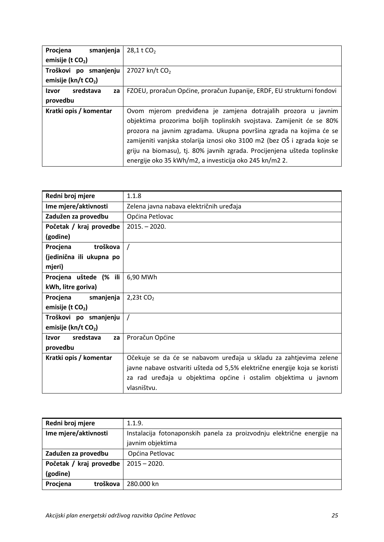| smanjenja<br>Procjena              | $28,1$ t CO <sub>2</sub>                                                 |
|------------------------------------|--------------------------------------------------------------------------|
| emisije (t $CO2$ )                 |                                                                          |
| Troškovi po smanjenju              | 27027 kn/t CO <sub>2</sub>                                               |
| emisije ( $kn/t$ CO <sub>2</sub> ) |                                                                          |
| sredstava<br>Izvor<br>za           | FZOEU, proračun Općine, proračun županije, ERDF, EU strukturni fondovi   |
| provedbu                           |                                                                          |
| Kratki opis / komentar             | Ovom mjerom predviđena je zamjena dotrajalih prozora u javnim            |
|                                    | objektima prozorima boljih toplinskih svojstava. Zamijenit će se 80%     |
|                                    | prozora na javnim zgradama. Ukupna površina zgrada na kojima će se       |
|                                    | zamijeniti vanjska stolarija iznosi oko 3100 m2 (bez OŠ i zgrada koje se |
|                                    | griju na biomasu), tj. 80% javnih zgrada. Procijenjena ušteda toplinske  |
|                                    | energije oko 35 kWh/m2, a investicija oko 245 kn/m2 2.                   |

| Redni broj mjere                | 1.1.8                                                                     |
|---------------------------------|---------------------------------------------------------------------------|
| Ime mjere/aktivnosti            | Zelena javna nabava električnih uređaja                                   |
| Zadužen za provedbu             | Općina Petlovac                                                           |
| Početak / kraj provedbe         | $2015 - 2020.$                                                            |
| (godine)                        |                                                                           |
| troškova<br>Procjena            |                                                                           |
| (jedinična ili ukupna po        |                                                                           |
| mjeri)                          |                                                                           |
| Procjena uštede (% ili          | 6,90 MWh                                                                  |
| kWh, litre goriva)              |                                                                           |
| smanjenja<br>Procjena           | 2,23t $CO2$                                                               |
| emisije (t $CO2$ )              |                                                                           |
| Troškovi po smanjenju           |                                                                           |
| emisije (kn/t CO <sub>2</sub> ) |                                                                           |
| sredstava<br>Izvor<br>za        | Proračun Općine                                                           |
| provedbu                        |                                                                           |
| Kratki opis / komentar          | Očekuje se da će se nabavom uređaja u skladu za zahtjevima zelene         |
|                                 | javne nabave ostvariti ušteda od 5,5% električne energije koja se koristi |
|                                 | za rad uređaja u objektima općine i ostalim objektima u javnom            |
|                                 | vlasništvu.                                                               |

| Redni broj mjere        | 1.1.9.                                                                 |
|-------------------------|------------------------------------------------------------------------|
| Ime mjere/aktivnosti    | Instalacija fotonaponskih panela za proizvodnju električne energije na |
|                         | javnim objektima                                                       |
| Zadužen za provedbu     | Općina Petlovac                                                        |
| Početak / kraj provedbe | $2015 - 2020.$                                                         |
| (godine)                |                                                                        |
| Procjena<br>troškova    | 280.000 kn                                                             |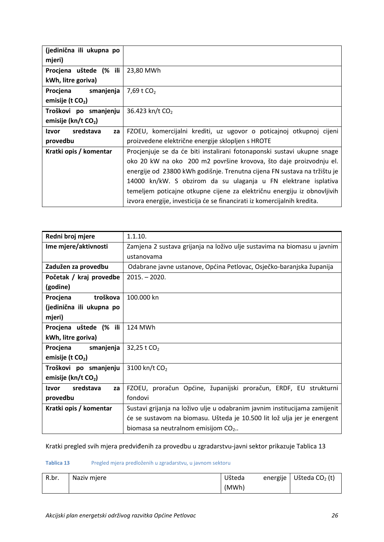| (jedinična ili ukupna po           |                                                                          |
|------------------------------------|--------------------------------------------------------------------------|
| mjeri)                             |                                                                          |
| Procjena uštede (% ili             | 23,80 MWh                                                                |
| kWh, litre goriva)                 |                                                                          |
| smanjenja<br>Procjena              | 7,69 t CO <sub>2</sub>                                                   |
| emisije (t $CO2$ )                 |                                                                          |
| Troškovi po smanjenju              | 36.423 kn/t CO <sub>2</sub>                                              |
| emisije ( $kn/t$ CO <sub>2</sub> ) |                                                                          |
| sredstava<br>Izvor<br>za           | FZOEU, komercijalni krediti, uz ugovor o poticajnoj otkupnoj cijeni      |
| provedbu                           | proizvedene električne energije sklopljen s HROTE                        |
| Kratki opis / komentar             | Procjenjuje se da će biti instalirani fotonaponski sustavi ukupne snage  |
|                                    | oko 20 kW na oko 200 m2 površine krovova, što daje proizvodnju el.       |
|                                    | energije od 23800 kWh godišnje. Trenutna cijena FN sustava na tržištu je |
|                                    | 14000 kn/kW. S obzirom da su ulaganja u FN elektrane isplativa           |
|                                    | temeljem poticajne otkupne cijene za električnu energiju iz obnovljivih  |
|                                    | izvora energije, investicija će se financirati iz komercijalnih kredita. |

| Redni broj mjere                | 1.1.10.                                                                    |  |  |
|---------------------------------|----------------------------------------------------------------------------|--|--|
| Ime mjere/aktivnosti            | Zamjena 2 sustava grijanja na loživo ulje sustavima na biomasu u javnim    |  |  |
|                                 | ustanovama                                                                 |  |  |
| Zadužen za provedbu             | Odabrane javne ustanove, Općina Petlovac, Osječko-baranjska županija       |  |  |
| Početak / kraj provedbe         | $2015. - 2020.$                                                            |  |  |
| (godine)                        |                                                                            |  |  |
| troškova<br>Procjena            | 100.000 kn                                                                 |  |  |
| (jedinična ili ukupna po        |                                                                            |  |  |
| mjeri)                          |                                                                            |  |  |
| Procjena uštede (% ili          | 124 MWh                                                                    |  |  |
| kWh, litre goriva)              |                                                                            |  |  |
| smanjenja<br>Procjena           | 32,25 t CO <sub>2</sub>                                                    |  |  |
| emisije (t $CO2$ )              |                                                                            |  |  |
| Troškovi po smanjenju           | 3100 kn/t CO <sub>2</sub>                                                  |  |  |
| emisije (kn/t CO <sub>2</sub> ) |                                                                            |  |  |
| sredstava<br>Izvor<br>za        | FZOEU, proračun Općine, županijski proračun, ERDF, EU strukturni           |  |  |
| provedbu                        | fondovi                                                                    |  |  |
| Kratki opis / komentar          | Sustavi grijanja na loživo ulje u odabranim javnim institucijama zamijenit |  |  |
|                                 | će se sustavom na biomasu. Ušteda je 10.500 lit lož ulja jer je energent   |  |  |
|                                 | biomasa sa neutralnom emisijom $CO2$ .                                     |  |  |

Kratki pregled svih mjera predviđenih za provedbu u zgradarstvu-javni sektor prikazuje [Tablica 13](#page-34-0)

#### <span id="page-34-0"></span>**Tablica 13** Pregled mjera predloženih u zgradarstvu, u javnom sektoru

| R.br. | Naziv mjere | Ušteda | energije   Ušteda CO <sub>2</sub> (t) |
|-------|-------------|--------|---------------------------------------|
|       |             | (MWh)  |                                       |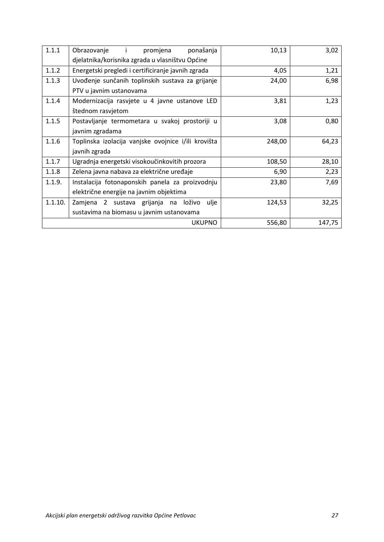| 1.1.1   | ponašanja<br>Obrazovanje<br>$\sim 1$ .<br>promjena  | 10,13  | 3,02   |
|---------|-----------------------------------------------------|--------|--------|
|         | djelatnika/korisnika zgrada u vlasništvu Općine     |        |        |
| 1.1.2   | Energetski pregledi i certificiranje javnih zgrada  | 4,05   | 1,21   |
| 1.1.3   | Uvođenje sunčanih toplinskih sustava za grijanje    | 24,00  | 6,98   |
|         | PTV u javnim ustanovama                             |        |        |
| 1.1.4   | Modernizacija rasvjete u 4 javne ustanove LED       | 3,81   | 1,23   |
|         | štednom rasvjetom                                   |        |        |
| 1.1.5   | Postavljanje termometara u svakoj prostoriji u      | 3,08   | 0,80   |
|         | javnim zgradama                                     |        |        |
| 1.1.6   | Toplinska izolacija vanjske ovojnice i/ili krovišta | 248,00 | 64,23  |
|         | javnih zgrada                                       |        |        |
| 1.1.7   | Ugradnja energetski visokoučinkovitih prozora       | 108,50 | 28,10  |
| 1.1.8   | Zelena javna nabava za električne uređaje           | 6,90   | 2,23   |
| 1.1.9.  | Instalacija fotonaponskih panela za proizvodnju     | 23,80  | 7,69   |
|         | električne energije na javnim objektima             |        |        |
| 1.1.10. | loživo<br>ulje<br>Zamjena 2 sustava grijanja na     | 124,53 | 32,25  |
|         | sustavima na biomasu u javnim ustanovama            |        |        |
|         | <b>UKUPNO</b>                                       | 556,80 | 147,75 |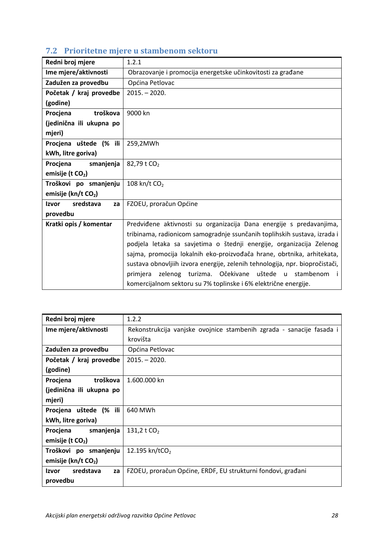| Redni broj mjere                | 1.2.1                                                                        |  |  |
|---------------------------------|------------------------------------------------------------------------------|--|--|
| Ime mjere/aktivnosti            | Obrazovanje i promocija energetske učinkovitosti za građane                  |  |  |
| Zadužen za provedbu             | Općina Petlovac                                                              |  |  |
| Početak / kraj provedbe         | $2015. - 2020.$                                                              |  |  |
| (godine)                        |                                                                              |  |  |
| troškova<br>Procjena            | 9000 kn                                                                      |  |  |
| (jedinična ili ukupna po        |                                                                              |  |  |
| mjeri)                          |                                                                              |  |  |
| Procjena uštede (% ili          | 259,2MWh                                                                     |  |  |
| kWh, litre goriva)              |                                                                              |  |  |
| Procjena<br>smanjenja           | 82,79 t CO <sub>2</sub>                                                      |  |  |
| emisije (t CO <sub>2</sub> )    |                                                                              |  |  |
| Troškovi po smanjenju           | 108 kn/t $CO2$                                                               |  |  |
| emisije (kn/t CO <sub>2</sub> ) |                                                                              |  |  |
| <b>Izvor</b><br>sredstava<br>za | FZOEU, proračun Općine                                                       |  |  |
| provedbu                        |                                                                              |  |  |
| Kratki opis / komentar          | Predviđene aktivnosti su organizacija Dana energije s predavanjima,          |  |  |
|                                 | tribinama, radionicom samogradnje ssunčanih toplihskih sustava, izrada i     |  |  |
|                                 | podjela letaka sa savjetima o štednji energije, organizacija Zelenog         |  |  |
|                                 | sajma, promocija lokalnih eko-proizvođača hrane, obrtnika, arhitekata,       |  |  |
|                                 | sustava obnovljiih izvora energije, zelenih tehnologija, npr. biopročistači, |  |  |
|                                 | zelenog turizma. Očekivane uštede u stambenom<br>primjera<br>-i              |  |  |
|                                 | komercijalnom sektoru su 7% toplinske i 6% električne energije.              |  |  |

# <span id="page-36-0"></span>**7.2 Prioritetne mjere u stambenom sektoru**

| Redni broj mjere                   | 1.2.2                                                                |  |  |
|------------------------------------|----------------------------------------------------------------------|--|--|
| Ime mjere/aktivnosti               | Rekonstrukcija vanjske ovojnice stambenih zgrada - sanacije fasada i |  |  |
|                                    | krovišta                                                             |  |  |
| Zadužen za provedbu                | Općina Petlovac                                                      |  |  |
| Početak / kraj provedbe            | $2015. - 2020.$                                                      |  |  |
| (godine)                           |                                                                      |  |  |
| troškova<br>Procjena               | 1.600.000 kn                                                         |  |  |
| (jedinična ili ukupna po           |                                                                      |  |  |
| mjeri)                             |                                                                      |  |  |
| Procjena uštede (% ili             | 640 MWh                                                              |  |  |
| kWh, litre goriva)                 |                                                                      |  |  |
| smanjenja<br>Procjena              | 131,2 t $CO2$                                                        |  |  |
| emisije (t $CO2$ )                 |                                                                      |  |  |
| Troškovi po smanjenju              | 12.195 kn/tCO <sub>2</sub>                                           |  |  |
| emisije ( $kn/t$ CO <sub>2</sub> ) |                                                                      |  |  |
| sredstava<br>Izvor<br>za           | FZOEU, proračun Općine, ERDF, EU strukturni fondovi, građani         |  |  |
| provedbu                           |                                                                      |  |  |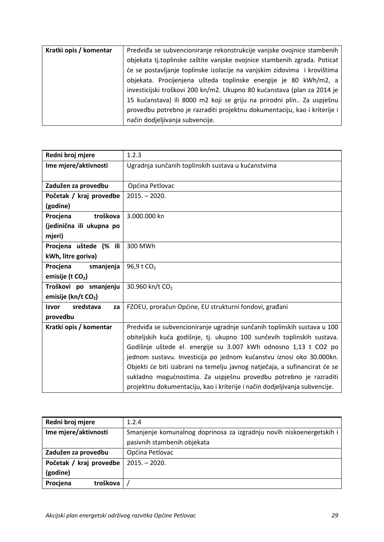| Kratki opis / komentar | Predviđa se subvencioniranje rekonstrukcije vanjske ovojnice stambenih                                                                                                                                                   |  |
|------------------------|--------------------------------------------------------------------------------------------------------------------------------------------------------------------------------------------------------------------------|--|
|                        | objekata tj.toplinske zaštite vanjske ovojnice stambenih zgrada. Poticat<br>će se postavljanje toplinske izolacije na vanjskim zidovima i krovištima<br>objekata. Procijenjena ušteda toplinske energije je 80 kWh/m2, a |  |
|                        |                                                                                                                                                                                                                          |  |
|                        |                                                                                                                                                                                                                          |  |
|                        | investicijski troškovi 200 kn/m2. Ukupno 80 kućanstava (plan za 2014 je                                                                                                                                                  |  |
|                        | 15 kućanstava) ili 8000 m2 koji se griju na prirodni plin Za uspješnu                                                                                                                                                    |  |
|                        | provedbu potrebno je razraditi projektnu dokumentaciju, kao i kriterije i                                                                                                                                                |  |
|                        | način dodjeljivanja subvencije.                                                                                                                                                                                          |  |

| Redni broj mjere         | 1.2.3                                                                      |  |
|--------------------------|----------------------------------------------------------------------------|--|
| Ime mjere/aktivnosti     | Ugradnja sunčanih toplinskih sustava u kućanstvima                         |  |
|                          |                                                                            |  |
| Zadužen za provedbu      | Općina Petlovac                                                            |  |
| Početak / kraj provedbe  | $2015. - 2020.$                                                            |  |
| (godine)                 |                                                                            |  |
| troškova<br>Procjena     | 3.000.000 kn                                                               |  |
| (jedinična ili ukupna po |                                                                            |  |
| mjeri)                   |                                                                            |  |
| Procjena uštede (% ili   | 300 MWh                                                                    |  |
| kWh, litre goriva)       |                                                                            |  |
| Procjena<br>smanjenja    | 96,9 t CO <sub>2</sub>                                                     |  |
| emisije (t $CO2$ )       |                                                                            |  |
| Troškovi po smanjenju    | 30.960 kn/t CO <sub>2</sub>                                                |  |
| emisije (kn/t CO2)       |                                                                            |  |
| sredstava<br>Izvor<br>za | FZOEU, proračun Općine, EU strukturni fondovi, građani                     |  |
| provedbu                 |                                                                            |  |
| Kratki opis / komentar   | Predviđa se subvencioniranje ugradnje sunčanih toplinskih sustava u 100    |  |
|                          | obiteljskih kuća godišnje, tj. ukupno 100 sunčevih toplinskih sustava.     |  |
|                          | Godišnje uštede el. energije su 3.007 kWh odnosno 1,13 t CO2 po            |  |
|                          | jednom sustavu. Investicija po jednom kućanstvu iznosi oko 30.000kn.       |  |
|                          | Objekti će biti izabrani na temelju javnog natječaja, a sufinancirat će se |  |
|                          | sukladno mogućnostima. Za uspješnu provedbu potrebno je razraditi          |  |
|                          | projektnu dokumentaciju, kao i kriterije i način dodjeljivanja subvencije. |  |

| Redni broj mjere                                                                             | 1.2.4                       |
|----------------------------------------------------------------------------------------------|-----------------------------|
| Ime mjere/aktivnosti<br>Smanjenje komunalnog doprinosa za izgradnju novih niskoenergetskih i |                             |
|                                                                                              | pasivnih stambenih objekata |
| Zadužen za provedbu                                                                          | Općina Petlovac             |
| Početak / kraj provedbe                                                                      | $2015. - 2020.$             |
| (godine)                                                                                     |                             |
| Procjena<br>troškova                                                                         |                             |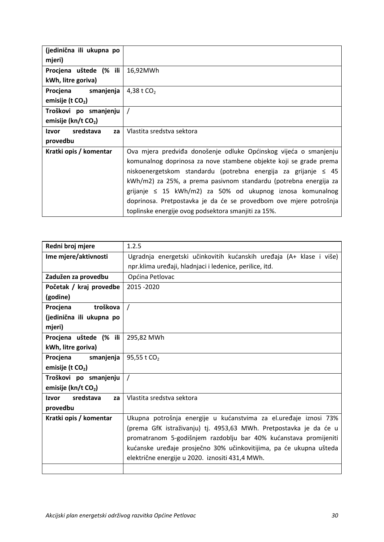| (jedinična ili ukupna po                                            |                                                                   |
|---------------------------------------------------------------------|-------------------------------------------------------------------|
| mjeri)                                                              |                                                                   |
| Procjena uštede (% ili                                              | 16,92MWh                                                          |
| kWh, litre goriva)                                                  |                                                                   |
| Procjena smanjenja                                                  | 4,38 t $CO2$                                                      |
| emisije (t $CO2$ )                                                  |                                                                   |
| Troškovi po smanjenju                                               |                                                                   |
| emisije ( $kn/t$ CO <sub>2</sub> )                                  |                                                                   |
| sredstava<br>Izvor<br>za                                            | Vlastita sredstva sektora                                         |
| provedbu                                                            |                                                                   |
| Kratki opis / komentar                                              | Ova mjera predviđa donošenje odluke Općinskog vijeća o smanjenju  |
|                                                                     | komunalnog doprinosa za nove stambene objekte koji se grade prema |
| niskoenergetskom standardu (potrebna energija za grijanje $\leq$ 45 |                                                                   |
| kWh/m2) za 25%, a prema pasivnom standardu (potrebna energija za    |                                                                   |
| grijanje $\leq$ 15 kWh/m2) za 50% od ukupnog iznosa komunalnog      |                                                                   |
| doprinosa. Pretpostavka je da će se provedbom ove mjere potrošnja   |                                                                   |
| toplinske energije ovog podsektora smanjiti za 15%.                 |                                                                   |

| Redni broj mjere                | 1.2.5                                                               |  |  |
|---------------------------------|---------------------------------------------------------------------|--|--|
| Ime mjere/aktivnosti            | Ugradnja energetski učinkovitih kućanskih uređaja (A+ klase i više) |  |  |
|                                 | npr.klima uređaji, hladnjaci i ledenice, perilice, itd.             |  |  |
| Zadužen za provedbu             | Općina Petlovac                                                     |  |  |
| Početak / kraj provedbe         | 2015 - 2020                                                         |  |  |
| (godine)                        |                                                                     |  |  |
| troškova<br>Procjena            | $\prime$                                                            |  |  |
| (jedinična ili ukupna po        |                                                                     |  |  |
| mjeri)                          |                                                                     |  |  |
| Procjena uštede (% ili          | 295,82 MWh                                                          |  |  |
| kWh, litre goriva)              |                                                                     |  |  |
| Procjena<br>smanjenja           | 95,55 t CO <sub>2</sub>                                             |  |  |
| emisije (t $CO2$ )              |                                                                     |  |  |
| Troškovi po smanjenju           | $\prime$                                                            |  |  |
| emisije (kn/t CO <sub>2</sub> ) |                                                                     |  |  |
| sredstava<br>Izvor<br>za        | Vlastita sredstva sektora                                           |  |  |
| provedbu                        |                                                                     |  |  |
| Kratki opis / komentar          | Ukupna potrošnja energije u kućanstvima za el.uređaje iznosi 73%    |  |  |
|                                 | (prema GfK istraživanju) tj. 4953,63 MWh. Pretpostavka je da će u   |  |  |
|                                 | promatranom 5-godišnjem razdoblju bar 40% kućanstava promijeniti    |  |  |
|                                 | kućanske uređaje prosječno 30% učinkovitijima, pa će ukupna ušteda  |  |  |
|                                 | električne energije u 2020. iznositi 431,4 MWh.                     |  |  |
|                                 |                                                                     |  |  |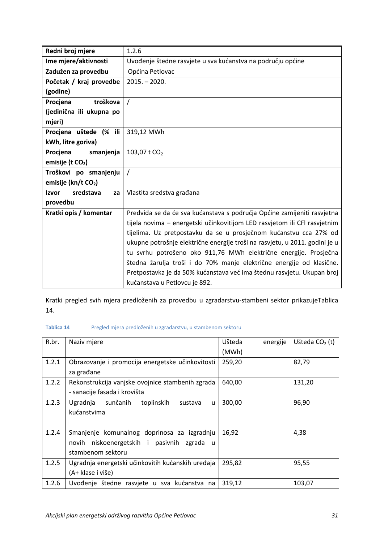| Redni broj mjere                                                 | 1.2.6                                                                       |  |
|------------------------------------------------------------------|-----------------------------------------------------------------------------|--|
| Ime mjere/aktivnosti                                             | Uvođenje štedne rasvjete u sva kućanstva na području općine                 |  |
| Zadužen za provedbu                                              | Općina Petlovac                                                             |  |
| Početak / kraj provedbe                                          | $2015. - 2020.$                                                             |  |
| (godine)                                                         |                                                                             |  |
| Procjena<br>troškova                                             | $\prime$                                                                    |  |
| (jedinična ili ukupna po                                         |                                                                             |  |
| mjeri)                                                           |                                                                             |  |
| Procjena uštede (% ili                                           | 319,12 MWh                                                                  |  |
| kWh, litre goriva)                                               |                                                                             |  |
| smanjenja<br>Procjena                                            | 103,07 t CO <sub>2</sub>                                                    |  |
| emisije (t $CO2$ )                                               |                                                                             |  |
| Troškovi po smanjenju                                            |                                                                             |  |
| emisije (kn/t CO <sub>2</sub> )                                  |                                                                             |  |
| Izvor<br>sredstava<br>za                                         | Vlastita sredstva građana                                                   |  |
| provedbu                                                         |                                                                             |  |
| Kratki opis / komentar                                           | Predviđa se da će sva kućanstava s područja Općine zamijeniti rasvjetna     |  |
|                                                                  | tijela novima - energetski učinkovitijom LED rasvjetom ili CFI rasvjetnim   |  |
|                                                                  | tijelima. Uz pretpostavku da se u prosječnom kućanstvu cca 27% od           |  |
|                                                                  | ukupne potrošnje električne energije troši na rasvjetu, u 2011. godini je u |  |
| tu svrhu potrošeno oko 911,76 MWh električne energije. Prosječna |                                                                             |  |
|                                                                  | štedna žarulja troši i do 70% manje električne energije od klasične.        |  |
|                                                                  | Pretpostavka je da 50% kućanstava već ima štednu rasvjetu. Ukupan broj      |  |
|                                                                  | kućanstava u Petlovcu je 892.                                               |  |

Kratki pregled svih mjera predloženih za provedbu u zgradarstvu-stambeni sektor prikazuj[eTablica](#page-39-0)  [14.](#page-39-0)

#### <span id="page-39-0"></span>**Tablica 14** Pregled mjera predloženih u zgradarstvu, u stambenom sektoru

| R.br. | Naziv mjere                                                                                                       | Ušteda<br>energije<br>(MWh) | Ušteda $CO2$ (t) |
|-------|-------------------------------------------------------------------------------------------------------------------|-----------------------------|------------------|
| 1.2.1 | Obrazovanje i promocija energetske učinkovitosti<br>za građane                                                    | 259,20                      | 82,79            |
| 1.2.2 | Rekonstrukcija vanjske ovojnice stambenih zgrada<br>- sanacije fasada i krovišta                                  | 640,00                      | 131,20           |
| 1.2.3 | toplinskih<br>sunčanih<br>Ugradnja<br>sustava<br>u<br>kućanstvima                                                 | 300,00                      | 96,90            |
| 1.2.4 | Smanjenje komunalnog doprinosa za izgradnju<br>novih niskoenergetskih i pasivnih<br>zgrada u<br>stambenom sektoru | 16,92                       | 4,38             |
| 1.2.5 | Ugradnja energetski učinkovitih kućanskih uređaja<br>(A+ klase i više)                                            | 295,82                      | 95,55            |
| 1.2.6 | Uvođenje štedne rasvjete u sva kućanstva na                                                                       | 319,12                      | 103,07           |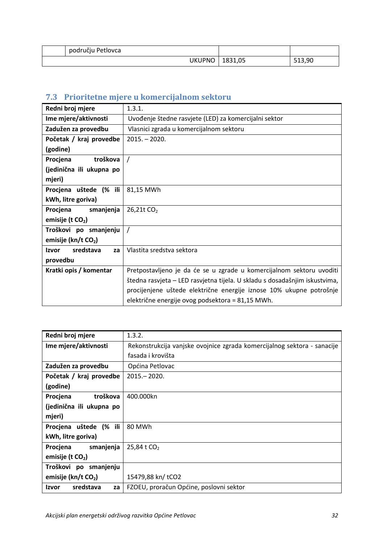| području Petlovca |         |        |
|-------------------|---------|--------|
| <b>UKUPNO</b>     | 1831,05 | 513,90 |

# <span id="page-40-0"></span>**7.3 Prioritetne mjere u komercijalnom sektoru**

| Redni broj mjere                | 1.3.1.                                                                     |  |
|---------------------------------|----------------------------------------------------------------------------|--|
| Ime mjere/aktivnosti            | Uvođenje štedne rasvjete (LED) za komercijalni sektor                      |  |
| Zadužen za provedbu             | Vlasnici zgrada u komercijalnom sektoru                                    |  |
| Početak / kraj provedbe         | $2015. - 2020.$                                                            |  |
| (godine)                        |                                                                            |  |
| Procjena<br>troškova            | $\prime$                                                                   |  |
| (jedinična ili ukupna po        |                                                                            |  |
| mjeri)                          |                                                                            |  |
| Procjena uštede (% ili          | 81,15 MWh                                                                  |  |
| kWh, litre goriva)              |                                                                            |  |
| smanjenja<br>Procjena           | 26,21t CO <sub>2</sub>                                                     |  |
| emisije (t $CO2$ )              |                                                                            |  |
| Troškovi po smanjenju           |                                                                            |  |
| emisije (kn/t CO <sub>2</sub> ) |                                                                            |  |
| sredstava<br>Izvor<br>za        | Vlastita sredstva sektora                                                  |  |
| provedbu                        |                                                                            |  |
| Kratki opis / komentar          | Pretpostavljeno je da će se u zgrade u komercijalnom sektoru uvoditi       |  |
|                                 | štedna rasvjeta - LED rasvjetna tijela. U skladu s dosadašnjim iskustvima, |  |
|                                 | procijenjene uštede električne energije iznose 10% ukupne potrošnje        |  |
|                                 | električne energije ovog podsektora = 81,15 MWh.                           |  |

| Redni broj mjere                | 1.3.2.                                                                  |
|---------------------------------|-------------------------------------------------------------------------|
| Ime mjere/aktivnosti            | Rekonstrukcija vanjske ovojnice zgrada komercijalnog sektora - sanacije |
|                                 | fasada i krovišta                                                       |
| Zadužen za provedbu             | Općina Petlovac                                                         |
| Početak / kraj provedbe         | $2015 - 2020.$                                                          |
| (godine)                        |                                                                         |
| troškova<br>Procjena            | 400.000kn                                                               |
| (jedinična ili ukupna po        |                                                                         |
| mjeri)                          |                                                                         |
| Procjena uštede (% ili          | 80 MWh                                                                  |
| kWh, litre goriva)              |                                                                         |
| smanjenja<br>Procjena           | 25,84 t CO <sub>2</sub>                                                 |
| emisije (t $CO2$ )              |                                                                         |
| Troškovi po smanjenju           |                                                                         |
| emisije (kn/t CO <sub>2</sub> ) | 15479,88 kn/ tCO2                                                       |
| sredstava<br>Izvor<br>za        | FZOEU, proračun Općine, poslovni sektor                                 |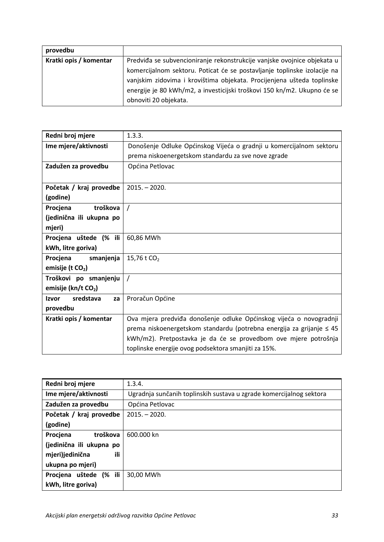| provedbu               |                                                                          |  |  |
|------------------------|--------------------------------------------------------------------------|--|--|
| Kratki opis / komentar | Predviđa se subvencioniranje rekonstrukcije vanjske ovojnice objekata u  |  |  |
|                        | komercijalnom sektoru. Poticat će se postavljanje toplinske izolacije na |  |  |
|                        | vanjskim zidovima i krovištima objekata. Procijenjena ušteda toplinske   |  |  |
|                        | energije je 80 kWh/m2, a investicijski troškovi 150 kn/m2. Ukupno će se  |  |  |
|                        | obnoviti 20 objekata.                                                    |  |  |

| Redni broj mjere                | 1.3.3.                                                               |  |
|---------------------------------|----------------------------------------------------------------------|--|
| Ime mjere/aktivnosti            | Donošenje Odluke Općinskog Vijeća o gradnji u komercijalnom sektoru  |  |
|                                 | prema niskoenergetskom standardu za sve nove zgrade                  |  |
| Zadužen za provedbu             | Općina Petlovac                                                      |  |
|                                 |                                                                      |  |
| Početak / kraj provedbe         | $2015. - 2020.$                                                      |  |
| (godine)                        |                                                                      |  |
| Procjena<br>troškova            | $\prime$                                                             |  |
| (jedinična ili ukupna po        |                                                                      |  |
| mjeri)                          |                                                                      |  |
| Procjena uštede (% ili          | 60,86 MWh                                                            |  |
| kWh, litre goriva)              |                                                                      |  |
| Procjena<br>smanjenja           | 15,76 t CO <sub>2</sub>                                              |  |
| emisije (t $CO2$ )              |                                                                      |  |
| Troškovi po smanjenju           |                                                                      |  |
| emisije (kn/t CO <sub>2</sub> ) |                                                                      |  |
| sredstava<br>Izvor<br>za        | Proračun Općine                                                      |  |
| provedbu                        |                                                                      |  |
| Kratki opis / komentar          | Ova mjera predviđa donošenje odluke Općinskog vijeća o novogradnji   |  |
|                                 | prema niskoenergetskom standardu (potrebna energija za grijanje ≤ 45 |  |
|                                 | kWh/m2). Pretpostavka je da će se provedbom ove mjere potrošnja      |  |
|                                 | toplinske energije ovog podsektora smanjiti za 15%.                  |  |

| Redni broj mjere            | 1.3.4.                                                              |
|-----------------------------|---------------------------------------------------------------------|
| Ime mjere/aktivnosti        | Ugradnja sunčanih toplinskih sustava u zgrade komercijalnog sektora |
| Zadužen za provedbu         | Općina Petlovac                                                     |
| Početak / kraj provedbe     | $2015 - 2020$ .                                                     |
| (godine)                    |                                                                     |
| troškova<br>Procjena        | 600.000 kn                                                          |
| (jedinična ili ukupna po    |                                                                     |
| ili<br>mjeri)jedinična      |                                                                     |
| ukupna po mjeri)            |                                                                     |
| $(%$ ili<br>Procjena uštede | 30,00 MWh                                                           |
| kWh, litre goriva)          |                                                                     |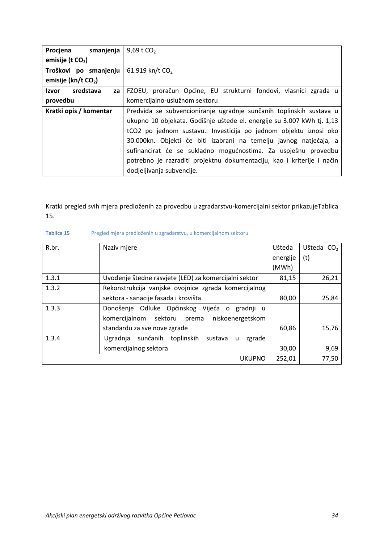| smanjenja<br>Procjena           | 9,69 t $CO2$                                                           |  |
|---------------------------------|------------------------------------------------------------------------|--|
| emisije (t $CO2$ )              |                                                                        |  |
| Troškovi po smanjenju           | 61.919 kn/t $CO2$                                                      |  |
| emisije (kn/t CO <sub>2</sub> ) |                                                                        |  |
| sredstava<br>Izvor<br>za        | FZOEU, proračun Općine, EU strukturni fondovi, vlasnici zgrada u       |  |
| provedbu                        | komercijalno-uslužnom sektoru                                          |  |
| Kratki opis / komentar          | Predviđa se subvencioniranje ugradnje sunčanih toplinskih sustava u    |  |
|                                 | ukupno 10 objekata. Godišnje uštede el. energije su 3.007 kWh tj. 1,13 |  |
|                                 | tCO2 po jednom sustavu Investicija po jednom objektu iznosi oko        |  |
|                                 | 30.000kn. Objekti će biti izabrani na temelju javnog natječaja, a      |  |
|                                 | sufinancirat će se sukladno mogućnostima. Za uspješnu provedbu         |  |
|                                 | potrebno je razraditi projektnu dokumentaciju, kao i kriterije i način |  |
|                                 | dodjeljivanja subvencije.                                              |  |

Kratki pregled svih mjera predloženih za provedbu u zgradarstvu-komercijalni sektor prikazuj[eTablica](#page-42-0)  [15.](#page-42-0)

| R.br. | Naziv mjere                                                  | Ušteda   | Ušteda CO <sub>2</sub> |
|-------|--------------------------------------------------------------|----------|------------------------|
|       |                                                              | energije | (t)                    |
|       |                                                              | (MWh)    |                        |
| 1.3.1 | Uvođenje štedne rasvjete (LED) za komercijalni sektor        | 81,15    | 26,21                  |
| 1.3.2 | Rekonstrukcija vanjske ovojnice zgrada komercijalnog         |          |                        |
|       | sektora - sanacije fasada i krovišta                         | 80,00    | 25,84                  |
| 1.3.3 | Donošenje Odluke Općinskog Vijeća o<br>gradnji<br><b>u</b>   |          |                        |
|       | komercijalnom sektoru<br>niskoenergetskom<br>prema           |          |                        |
|       | standardu za sve nove zgrade                                 | 60,86    | 15,76                  |
| 1.3.4 | sunčanih<br>toplinskih<br>Ugradnja<br>zgrade<br>sustava<br>u |          |                        |
|       | komercijalnog sektora                                        | 30,00    | 9,69                   |
|       | <b>UKUPNO</b>                                                | 252,01   | 77,50                  |

#### <span id="page-42-0"></span>**Tablica 15** Pregled mjera predloženih u zgradarstvu, u komercijalnom sektoru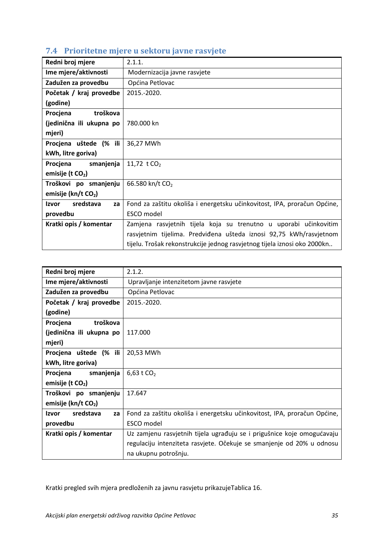| Redni broj mjere                | 2.1.1.                                                                   |
|---------------------------------|--------------------------------------------------------------------------|
| Ime mjere/aktivnosti            | Modernizacija javne rasvjete                                             |
| Zadužen za provedbu             | Općina Petlovac                                                          |
| Početak / kraj provedbe         | 2015.-2020.                                                              |
| (godine)                        |                                                                          |
| Procjena<br>troškova            |                                                                          |
| (jedinična ili ukupna po        | 780.000 kn                                                               |
| mjeri)                          |                                                                          |
| Procjena uštede (% ili          | 36,27 MWh                                                                |
| kWh, litre goriva)              |                                                                          |
| smanjenja<br>Procjena           | 11,72 t $CO2$                                                            |
| emisije (t $CO2$ )              |                                                                          |
| Troškovi po smanjenju           | 66.580 kn/t CO <sub>2</sub>                                              |
| emisije (kn/t CO <sub>2</sub> ) |                                                                          |
| sredstava<br>Izvor<br>za        | Fond za zaštitu okoliša i energetsku učinkovitost, IPA, proračun Općine, |
| provedbu                        | ESCO model                                                               |
| Kratki opis / komentar          | Zamjena rasvjetnih tijela koja su trenutno u uporabi učinkovitim         |
|                                 | rasvjetnim tijelima. Predviđena ušteda iznosi 92,75 kWh/rasvjetnom       |
|                                 | tijelu. Trošak rekonstrukcije jednog rasvjetnog tijela iznosi oko 2000kn |

# <span id="page-43-0"></span>**7.4 Prioritetne mjere u sektoru javne rasvjete**

| Redni broj mjere                | 2.1.2.                                                                   |
|---------------------------------|--------------------------------------------------------------------------|
| Ime mjere/aktivnosti            | Upravljanje intenzitetom javne rasvjete                                  |
| Zadužen za provedbu             | Općina Petlovac                                                          |
| Početak / kraj provedbe         | 2015.-2020.                                                              |
| (godine)                        |                                                                          |
| troškova<br>Procjena            |                                                                          |
| (jedinična ili ukupna po        | 117.000                                                                  |
| mjeri)                          |                                                                          |
| Procjena uštede (% ili          | 20,53 MWh                                                                |
| kWh, litre goriva)              |                                                                          |
| Procjena smanjenja              | 6,63 t $CO2$                                                             |
| emisije (t CO <sub>2</sub> )    |                                                                          |
| Troškovi po smanjenju           | 17.647                                                                   |
| emisije (kn/t CO <sub>2</sub> ) |                                                                          |
| sredstava<br>Izvor<br>za        | Fond za zaštitu okoliša i energetsku učinkovitost, IPA, proračun Općine, |
| provedbu                        | ESCO model                                                               |
| Kratki opis / komentar          | Uz zamjenu rasvjetnih tijela ugrađuju se i prigušnice koje omogućavaju   |
|                                 | regulaciju intenziteta rasvjete. Očekuje se smanjenje od 20% u odnosu    |
|                                 | na ukupnu potrošnju.                                                     |

Kratki pregled svih mjera predloženih za javnu rasvjetu prikazuj[eTablica 16.](#page-44-1)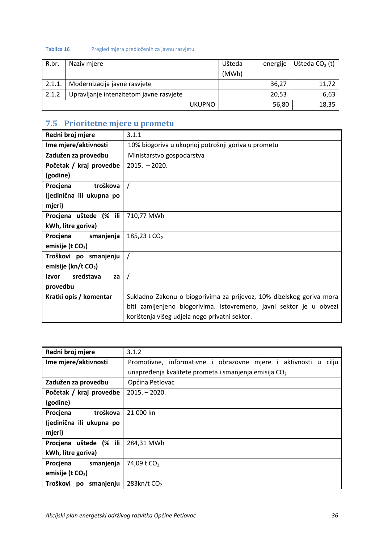#### <span id="page-44-1"></span>**Tablica 16** Pregled mjera predloženih za javnu rasvjetu

| R.br.  | Naziv mjere                             | Ušteda | energije | Ušteda $CO2$ (t) |
|--------|-----------------------------------------|--------|----------|------------------|
|        |                                         | (MWh)  |          |                  |
| 2.1.1. | Modernizacija javne rasvjete            |        | 36,27    | 11,72            |
| 2.1.2  | Upravljanje intenzitetom javne rasvjete |        | 20,53    | 6,63             |
|        | <b>UKUPNO</b>                           |        | 56,80    | 18,35            |

## <span id="page-44-0"></span>**7.5 Prioritetne mjere u prometu**

| 3.1.1                                                                |
|----------------------------------------------------------------------|
| 10% biogoriva u ukupnoj potrošnji goriva u prometu                   |
| Ministarstvo gospodarstva                                            |
| $2015. - 2020.$                                                      |
|                                                                      |
|                                                                      |
|                                                                      |
|                                                                      |
| 710,77 MWh                                                           |
|                                                                      |
| 185,23 t $CO2$                                                       |
|                                                                      |
|                                                                      |
|                                                                      |
| $\overline{1}$                                                       |
|                                                                      |
| Sukladno Zakonu o biogorivima za prijevoz, 10% dizelskog goriva mora |
| biti zamijenjeno biogorivima. Istovremeno, javni sektor je u obvezi  |
| korištenja višeg udjela nego privatni sektor.                        |
|                                                                      |

| Redni broj mjere            | 3.1.2                                                                 |
|-----------------------------|-----------------------------------------------------------------------|
| Ime mjere/aktivnosti        | Promotivne, informativne i obrazovne mjere i aktivnosti<br>cilju<br>u |
|                             | unapređenja kvalitete prometa i smanjenja emisija $CO2$               |
| Zadužen za provedbu         | Općina Petlovac                                                       |
| Početak / kraj provedbe     | $2015 - 2020.$                                                        |
| (godine)                    |                                                                       |
| troškova<br>Procjena        | 21.000 kn                                                             |
| (jedinična ili ukupna po    |                                                                       |
| mjeri)                      |                                                                       |
| $(%$ ili<br>Procjena uštede | 284,31 MWh                                                            |
| kWh, litre goriva)          |                                                                       |
| smanjenja<br>Procjena       | 74,09 t CO <sub>2</sub>                                               |
| emisije (t $CO2$ )          |                                                                       |
| Troškovi<br>smanjenju<br>po | $283$ kn/t $CO2$                                                      |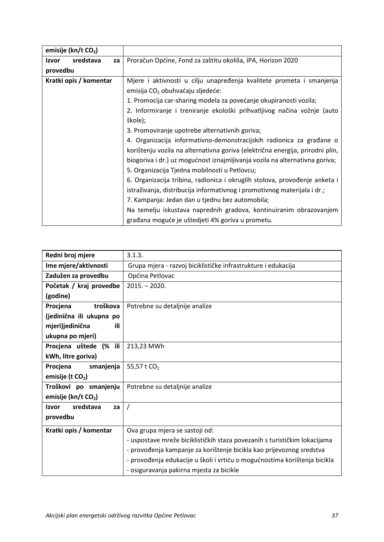| emisije (kn/t CO <sub>2</sub> ) |                                                                               |  |  |
|---------------------------------|-------------------------------------------------------------------------------|--|--|
| sredstava<br>Izvor<br>za        | Proračun Općine, Fond za zaštitu okoliša, IPA, Horizon 2020                   |  |  |
| provedbu                        |                                                                               |  |  |
| Kratki opis / komentar          | Mjere i aktivnosti u cilju unapređenja kvalitete prometa i smanjenja          |  |  |
|                                 | emisija CO <sub>2</sub> obuhvaćaju sljedeće:                                  |  |  |
|                                 | 1. Promocija car-sharing modela za povećanje okupiranosti vozila;             |  |  |
|                                 | 2. Informiranje i treniranje ekološki prihvatljivog načina vožnje (auto       |  |  |
|                                 | škole);                                                                       |  |  |
|                                 | 3. Promoviranje upotrebe alternativnih goriva;                                |  |  |
|                                 | 4. Organizacija informativno-demonstracijskih radionica za građane o          |  |  |
|                                 | korištenju vozila na alternativna goriva (električna energija, prirodni plin, |  |  |
|                                 | biogoriva i dr.) uz mogućnost iznajmljivanja vozila na alternativna goriva;   |  |  |
|                                 | 5. Organizacija Tjedna mobilnosti u Petlovcu;                                 |  |  |
|                                 | 6. Organizacija tribina, radionica i okruglih stolova, provođenje anketa i    |  |  |
|                                 | istraživanja, distribucija informativnog i promotivnog materijala i dr.;      |  |  |
|                                 | 7. Kampanja: Jedan dan u tjednu bez automobila;                               |  |  |
|                                 | Na temelju iskustava naprednih gradova, kontinuiranim obrazovanjem            |  |  |
|                                 | građana moguće je uštedjeti 4% goriva u prometu.                              |  |  |

| Redni broj mjere                | 3.1.3.                                                                    |  |  |  |
|---------------------------------|---------------------------------------------------------------------------|--|--|--|
| Ime mjere/aktivnosti            | Grupa mjera - razvoj biciklističke infrastrukture i edukacija             |  |  |  |
| Zadužen za provedbu             | Općina Petlovac                                                           |  |  |  |
| Početak / kraj provedbe         | $2015. - 2020.$                                                           |  |  |  |
| (godine)                        |                                                                           |  |  |  |
| troškova<br>Procjena            | Potrebne su detaljnije analize                                            |  |  |  |
| (jedinična ili ukupna po        |                                                                           |  |  |  |
| mjeri)jedinična<br>ili          |                                                                           |  |  |  |
| ukupna po mjeri)                |                                                                           |  |  |  |
| Procjena uštede (% ili          | 213,23 MWh                                                                |  |  |  |
| kWh, litre goriva)              |                                                                           |  |  |  |
| smanjenja<br>Procjena           | 55,57 t CO <sub>2</sub>                                                   |  |  |  |
| emisije (t CO <sub>2</sub> )    |                                                                           |  |  |  |
| Troškovi po smanjenju           | Potrebne su detaljnije analize                                            |  |  |  |
| emisije (kn/t CO <sub>2</sub> ) |                                                                           |  |  |  |
| sredstava<br>Izvor<br>za        | $\prime$                                                                  |  |  |  |
| provedbu                        |                                                                           |  |  |  |
| Kratki opis / komentar          | Ova grupa mjera se sastoji od:                                            |  |  |  |
|                                 | - uspostave mreže biciklističkih staza povezanih s turističkim lokacijama |  |  |  |
|                                 | - provođenja kampanje za korištenje bicikla kao prijevoznog sredstva      |  |  |  |
|                                 | - provođenja edukacije u školi i vrtiću o mogućnostima korištenja bicikla |  |  |  |
|                                 | - osiguravanja pakirna mjesta za bicikle                                  |  |  |  |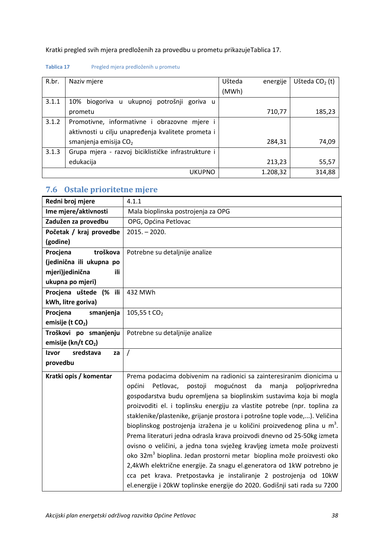Kratki pregled svih mjera predloženih za provedbu u prometu prikazuje[Tablica 17.](#page-46-1)

#### <span id="page-46-1"></span>**Tablica 17** Pregled mjera predloženih u prometu

| R.br. | Naziv mjere                                         | Ušteda | energije | Ušteda $CO2$ (t) |
|-------|-----------------------------------------------------|--------|----------|------------------|
|       |                                                     | (MWh)  |          |                  |
| 3.1.1 | 10%<br>biogoriva u ukupnoj potrošnji<br>goriva u    |        |          |                  |
|       | prometu                                             |        | 710,77   | 185,23           |
| 3.1.2 | Promotivne, informativne i obrazovne mjere          |        |          |                  |
|       | aktivnosti u cilju unapređenja kvalitete prometa i  |        |          |                  |
|       | smanjenja emisija $CO2$                             |        | 284,31   | 74,09            |
| 3.1.3 | Grupa mjera - razvoj biciklističke infrastrukture i |        |          |                  |
|       | edukacija                                           |        | 213,23   | 55,57            |
|       | <b>UKUPNO</b>                                       |        | 1.208,32 | 314,88           |

## <span id="page-46-0"></span>**7.6 Ostale prioritetne mjere**

| Redni broj mjere             | 4.1.1                                                                                |
|------------------------------|--------------------------------------------------------------------------------------|
| Ime mjere/aktivnosti         | Mala bioplinska postrojenja za OPG                                                   |
| Zadužen za provedbu          | OPG, Općina Petlovac                                                                 |
| Početak / kraj provedbe      | $2015. - 2020.$                                                                      |
| (godine)                     |                                                                                      |
| troškova<br>Procjena         | Potrebne su detaljnije analize                                                       |
| (jedinična ili ukupna po     |                                                                                      |
| mjeri)jedinična<br>ili       |                                                                                      |
| ukupna po mjeri)             |                                                                                      |
| Procjena uštede (% ili       | 432 MWh                                                                              |
| kWh, litre goriva)           |                                                                                      |
| Procjena<br>smanjenja        | 105,55 t CO <sub>2</sub>                                                             |
| emisije (t CO <sub>2</sub> ) |                                                                                      |
| Troškovi po smanjenju        | Potrebne su detaljnije analize                                                       |
| emisije (kn/t CO2)           |                                                                                      |
| Izvor<br>sredstava<br>za     | $\prime$                                                                             |
| provedbu                     |                                                                                      |
| Kratki opis / komentar       | Prema podacima dobivenim na radionici sa zainteresiranim dionicima u                 |
|                              | općini<br>Petlovac,<br>mogućnost<br>da<br>postoji<br>manja<br>poljoprivredna         |
|                              | gospodarstva budu opremljena sa bioplinskim sustavima koja bi mogla                  |
|                              | proizvoditi el. i toplinsku energiju za vlastite potrebe (npr. toplina za            |
|                              | staklenike/plastenike, grijanje prostora i potrošne tople vode,). Veličina           |
|                              | bioplinskog postrojenja izražena je u količini proizvedenog plina u m <sup>3</sup> . |
|                              | Prema literaturi jedna odrasla krava proizvodi dnevno od 25-50kg izmeta              |
|                              | ovisno o veličini, a jedna tona svježeg kravljeg izmeta može proizvesti              |
|                              | oko 32m <sup>3</sup> bioplina. Jedan prostorni metar bioplina može proizvesti oko    |
|                              | 2,4kWh električne energije. Za snagu el.generatora od 1kW potrebno je                |
|                              | cca pet krava. Pretpostavka je instaliranje 2 postrojenja od 10kW                    |
|                              | el.energije i 20kW toplinske energije do 2020. Godišnji sati rada su 7200            |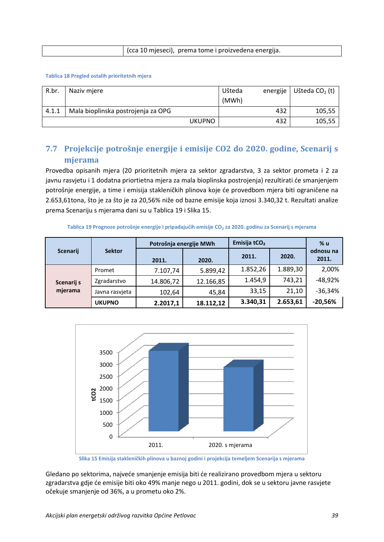| cca 10 mjeseci), prema tome i proizvedena energija. |
|-----------------------------------------------------|
|                                                     |

#### <span id="page-47-2"></span>**Tablica 18 Pregled ostalih prioritetnih mjera**

| R.br  | Naziv mjere                        |               | Ušteda<br>(MWh) | energije | Ušteda $CO2$ (t) |
|-------|------------------------------------|---------------|-----------------|----------|------------------|
| 4.1.1 | Mala bioplinska postrojenja za OPG |               |                 | 432      | 105,55           |
|       |                                    | <b>UKUPNO</b> |                 | 432      | 105,55           |

## <span id="page-47-0"></span>**7.7 Projekcije potrošnje energije i emisije CO2 do 2020. godine, Scenarij s mjerama**

Provedba opisanih mjera (20 prioritetnih mjera za sektor zgradarstva, 3 za sektor prometa i 2 za javnu rasvjetu i 1 dodatna priortietna mjera za mala bioplinska postrojenja) rezultirati će smanjenjem potrošnje energije, a time i emisija stakleničkih plinova koje će provedbom mjera biti ograničene na 2.653,61tona, što je za što je za 20,56% niže od bazne emisije koja iznosi 3.340,32 t. Rezultati analize prema Scenariju s mjerama dani su u [Tablica 19](#page-47-3) i [Slika 15.](#page-47-1)

**Tablica 19 Prognoze potrošnje energije i pripadajućih emisije CO2 za 2020. godinu za Scenarij s mjerama**

<span id="page-47-3"></span>

|            |                | Potrošnja energije MWh |           | Emisija tCO <sub>2</sub> |          | % u                |
|------------|----------------|------------------------|-----------|--------------------------|----------|--------------------|
| Scenarij   | <b>Sektor</b>  | 2011.                  | 2020.     | 2011.                    | 2020.    | odnosu na<br>2011. |
| Scenarij s | Promet         | 7.107,74               | 5.899,42  | 1.852,26                 | 1.889,30 | 2,00%              |
|            | Zgradarstvo    | 14.806,72              | 12.166,85 | 1.454,9                  | 743,21   | $-48,92%$          |
| mjerama    | Javna rasvjeta | 102,64                 | 45,84     | 33,15                    | 21,10    | $-36,34%$          |
|            | <b>UKUPNO</b>  | 2.2017,1               | 18.112,12 | 3.340,31                 | 2.653,61 | $-20,56%$          |



**Slika 15 Emisija stakleničkih plinova u baznoj godini i projekcija temeljem Scenarija s mjerama**

<span id="page-47-1"></span>Gledano po sektorima, najveće smanjenje emisija biti će realizirano provedbom mjera u sektoru zgradarstva gdje će emisije biti oko 49% manje nego u 2011. godini, dok se u sektoru javne rasvjete očekuje smanjenje od 36%, a u prometu oko 2%.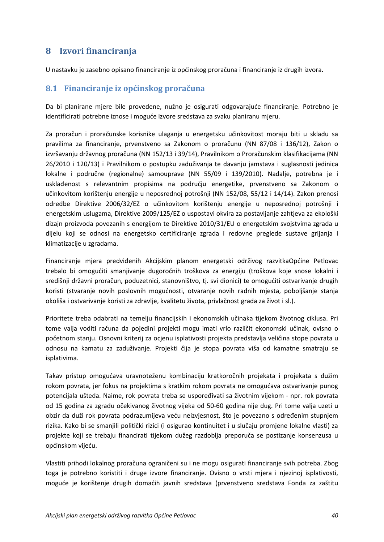## <span id="page-48-0"></span>**8 Izvori financiranja**

U nastavku je zasebno opisano financiranje iz općinskog proračuna i financiranje iz drugih izvora.

#### <span id="page-48-1"></span>**8.1 Financiranje iz općinskog proračuna**

Da bi planirane mjere bile provedene, nužno je osigurati odgovarajuće financiranje. Potrebno je identificirati potrebne iznose i moguće izvore sredstava za svaku planiranu mjeru.

Za proračun i proračunske korisnike ulaganja u energetsku učinkovitost moraju biti u skladu sa pravilima za financiranje, prvenstveno sa Zakonom o proračunu (NN 87/08 i 136/12), Zakon o izvršavanju državnog proračuna (NN 152/13 i 39/14), Pravilnikom o Proračunskim klasifikacijama (NN 26/2010 i 120/13) i Pravilnikom o postupku zaduživanja te davanju jamstava i suglasnosti jedinica lokalne i područne (regionalne) samouprave (NN 55/09 i 139/2010). Nadalje, potrebna je i usklađenost s relevantnim propisima na području energetike, prvenstveno sa Zakonom o učinkovitom korištenju energije u neposrednoj potrošnji (NN 152/08, 55/12 i 14/14). Zakon prenosi odredbe Direktive 2006/32/EZ o učinkovitom korištenju energije u neposrednoj potrošnji i energetskim uslugama, Direktive 2009/125/EZ o uspostavi okvira za postavljanje zahtjeva za ekološki dizajn proizvoda povezanih s energijom te Direktive 2010/31/EU o energetskim svojstvima zgrada u dijelu koji se odnosi na energetsko certificiranje zgrada i redovne preglede sustave grijanja i klimatizacije u zgradama.

Financiranje mjera predviđenih Akcijskim planom energetski održivog razvitkaOpćine Petlovac trebalo bi omogućiti smanjivanje dugoročnih troškova za energiju (troškova koje snose lokalni i središnji državni proračun, poduzetnici, stanovništvo, tj. svi dionici) te omogućiti ostvarivanje drugih koristi (stvaranje novih poslovnih mogućnosti, otvaranje novih radnih mjesta, poboljšanje stanja okoliša i ostvarivanje koristi za zdravlje, kvalitetu života, privlačnost grada za život i sl.).

Prioritete treba odabrati na temelju financijskih i ekonomskih učinaka tijekom životnog ciklusa. Pri tome valja voditi računa da pojedini projekti mogu imati vrlo različit ekonomski učinak, ovisno o početnom stanju. Osnovni kriterij za ocjenu isplativosti projekta predstavlja veličina stope povrata u odnosu na kamatu za zaduživanje. Projekti čija je stopa povrata viša od kamatne smatraju se isplativima.

Takav pristup omogućava uravnoteženu kombinaciju kratkoročnih projekata i projekata s dužim rokom povrata, jer fokus na projektima s kratkim rokom povrata ne omogućava ostvarivanje punog potencijala ušteda. Naime, rok povrata treba se uspoređivati sa životnim vijekom - npr. rok povrata od 15 godina za zgradu očekivanog životnog vijeka od 50-60 godina nije dug. Pri tome valja uzeti u obzir da duži rok povrata podrazumijeva veću neizvjesnost, što je povezano s određenim stupnjem rizika. Kako bi se smanjili politički rizici (i osigurao kontinuitet i u slučaju promjene lokalne vlasti) za projekte koji se trebaju financirati tijekom dužeg razdoblja preporuča se postizanje konsenzusa u općinskom vijeću.

Vlastiti prihodi lokalnog proračuna ograničeni su i ne mogu osigurati financiranje svih potreba. Zbog toga je potrebno koristiti i druge izvore financiranje. Ovisno o vrsti mjera i njezinoj isplativosti, moguće je korištenje drugih domaćih javnih sredstava (prvenstveno sredstava Fonda za zaštitu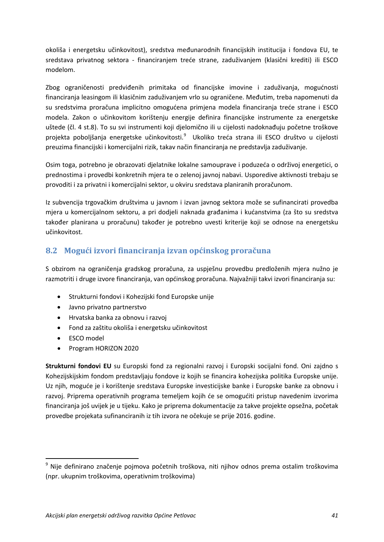okoliša i energetsku učinkovitost), sredstva međunarodnih financijskih institucija i fondova EU, te sredstava privatnog sektora - financiranjem treće strane, zaduživanjem (klasični krediti) ili ESCO modelom.

Zbog ograničenosti predviđenih primitaka od financijske imovine i zaduživanja, mogućnosti financiranja leasingom ili klasičnim zaduživanjem vrlo su ograničene. Međutim, treba napomenuti da su sredstvima proračuna implicitno omogućena primjena modela financiranja treće strane i ESCO modela. Zakon o učinkovitom korištenju energije definira financijske instrumente za energetske uštede (čl. 4 st.8). To su svi instrumenti koji djelomično ili u cijelosti nadoknađuju početne troškove projekta poboljšanja energetske učinkovitosti.<sup>[9](#page-49-1)</sup> Ukoliko treća strana ili ESCO društvo u cijelosti preuzima financijski i komercijalni rizik, takav način financiranja ne predstavlja zaduživanje.

Osim toga, potrebno je obrazovati djelatnike lokalne samouprave i poduzeća o održivoj energetici, o prednostima i provedbi konkretnih mjera te o zelenoj javnoj nabavi. Usporedive aktivnosti trebaju se provoditi i za privatni i komercijalni sektor, u okviru sredstava planiranih proračunom.

Iz subvencija trgovačkim društvima u javnom i izvan javnog sektora može se sufinancirati provedba mjera u komercijalnom sektoru, a pri dodjeli naknada građanima i kućanstvima (za što su sredstva također planirana u proračunu) također je potrebno uvesti kriterije koji se odnose na energetsku učinkovitost.

### <span id="page-49-0"></span>**8.2 Mogući izvori financiranja izvan općinskog proračuna**

S obzirom na ograničenja gradskog proračuna, za uspješnu provedbu predloženih mjera nužno je razmotriti i druge izvore financiranja, van općinskog proračuna. Najvažniji takvi izvori financiranja su:

- Strukturni fondovi i Kohezijski fond Europske unije
- Javno privatno partnerstvo
- Hrvatska banka za obnovu i razvoj
- Fond za zaštitu okoliša i energetsku učinkovitost
- ESCO model
- Program HORIZON 2020

**Strukturni fondovi EU** su Europski fond za regionalni razvoj i Europski socijalni fond. Oni zajdno s Kohezijskijskim fondom predstavljaju fondove iz kojih se financira kohezijska politika Europske unije. Uz njih, moguće je i korištenje sredstava Europske investicijske banke i Europske banke za obnovu i razvoj. Priprema operativnih programa temeljem kojih će se omogućiti pristup navedenim izvorima financiranja još uvijek je u tijeku. Kako je priprema dokumentacije za takve projekte opsežna, početak provedbe projekata sufinanciranih iz tih izvora ne očekuje se prije 2016. godine.

<span id="page-49-1"></span><sup>&</sup>lt;sup>9</sup> Nije definirano značenje pojmova početnih troškova, niti njihov odnos prema ostalim troškovima (npr. ukupnim troškovima, operativnim troškovima)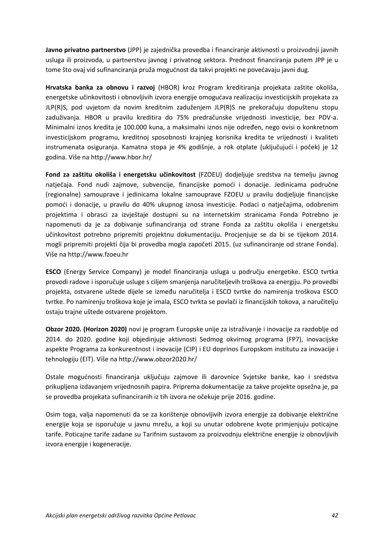**Javno privatno partnerstvo** (JPP) je zajednička provedba i financiranje aktivnosti u proizvodnji javnih usluga ili proizvoda, u partnerstvu javnog i privatnog sektora. Prednost financiranja putem JPP je u tome što ovaj vid sufinanciranja pruža mogućnost da takvi projekti ne povećavaju javni dug.

**Hrvatska banka za obnovu i razvoj** (HBOR) kroz Program kreditiranja projekata zaštite okoliša, energetske učinkovitosti i obnovljivih izvora energije omogućava realizaciju investicijskih projekata za JLP(R)S, pod uvjetom da novim kreditnim zaduženjem JLP(R)S ne prekoračuju dopuštenu stopu zaduživanja. HBOR u pravilu kreditira do 75% predračunske vrijednosti investicije, bez PDV-a. Minimalni iznos kredita je 100.000 kuna, a maksimalni iznos nije određen, nego ovisi o konkretnom investicijskom programu, kreditnoj sposobnosti krajnjeg korisnika kredita te vrijednosti i kvaliteti instrumenata osiguranja. Kamatna stopa je 4% godišnje, a rok otplate (uključujući i poček) je 12 godina. Više na http://www.hbor.hr/

**Fond za zaštitu okoliša i energetsku učinkovitost** (FZOEU) dodjeljuje sredstva na temelju javnog natječaja. Fond nudi zajmove, subvencije, financijske pomoći i donacije. Jedinicama područne (regionalne) samouprave i jedinicama lokalne samouprave FZOEU u pravilu dodjeljuje financijske pomoći i donacije, u pravilu do 40% ukupnog iznosa investicije. Podaci o natječajima, odobrenim projektima i obrasci za izvještaje dostupni su na internetskim stranicama Fonda Potrebno je napomenuti da je za dobivanje sufinanciranja od strane Fonda za zaštitu okoliša i energetsku učinkovitost potrebno pripremiti projektnu dokumentaciju. Procjenjuje se da bi se tijekom 2014. mogli pripremiti projekti čija bi provedba mogla započeti 2015. (uz sufinanciranje od strane Fonda). Više na http://www.fzoeu.hr

**ESCO** (Energy Service Company) je model financiranja usluga u području energetike. ESCO tvrtka provodi radove i isporučuje usluge s ciljem smanjenja naručiteljevih troškova za energiju. Po provedbi projekta, ostvarene uštede dijele se između naručitelja i ESCO tvrtke do namirenja troškova ESCO tvrtke. Po namirenju troškova koje je imala, ESCO tvrkta se povlači iz financijskih tokova, a naručitelju ostaju trajne uštede ostvarene projektom.

**Obzor 2020. (Horizon 2020)** novi je program Europske unije za istraživanje i inovacije za razdoblje od 2014. do 2020. godine koji objedinjuje aktivnosti Sedmog okvirnog programa (FP7), inovacijske aspekte Programa za konkurentnost i inovacije (CIP) i EU doprinos Europskom institutu za inovacije i tehnologiju (EIT). Više na http://www.obzor2020.hr/

Ostale mogućnosti financiranja uključuju zajmove ili darovnice Svjetske banke, kao i sredstva prikupljena izdavanjem vrijednosnih papira. Priprema dokumentacije za takve projekte opsežna je, pa se provedba projekata sufinanciranih iz tih izvora ne očekuje prije 2016. godine.

Osim toga, valja napomenuti da se za korištenje obnovljivih izvora energije za dobivanje električne energije koja se isporučuje u javnu mrežu, a koji su unutar odobrene kvote primjenjuju poticajne tarife. Poticajne tarife zadane su Tarifnim sustavom za proizvodnju električne energije iz obnovljivih izvora energije i kogeneracije.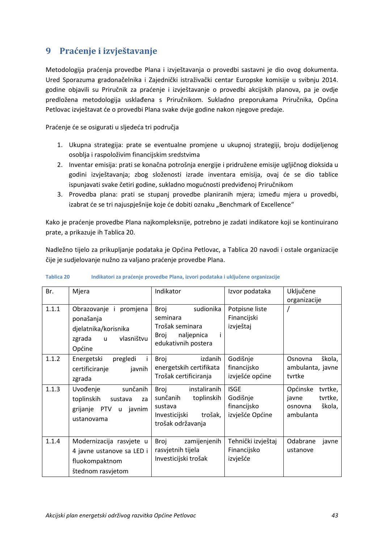## <span id="page-51-0"></span>**9 Praćenje i izvještavanje**

Metodologija praćenja provedbe Plana i izvještavanja o provedbi sastavni je dio ovog dokumenta. Ured Sporazuma gradonačelnika i Zajednički istraživački centar Europske komisije u svibnju 2014. godine objavili su Priručnik za praćenje i izvještavanje o provedbi akcijskih planova, pa je ovdje predložena metodologija usklađena s Priručnikom. Sukladno preporukama Priručnika, Općina Petlovac izvještavat će o provedbi Plana svake dvije godine nakon njegove predaje.

Praćenje će se osigurati u sljedeća tri područja

- 1. Ukupna strategija: prate se eventualne promjene u ukupnoj strategiji, broju dodijeljenog osoblja i raspoloživim financijskim sredstvima
- 2. Inventar emisija: prati se konačna potrošnja energije i pridružene emisije ugljičnog dioksida u godini izvještavanja; zbog složenosti izrade inventara emisija, ovaj će se dio tablice ispunjavati svake četiri godine, sukladno mogućnosti predviđenoj Priručnikom
- 3. Provedba plana: prati se stupanj provedbe planiranih mjera; između mjera u provedbi, izabrat će se tri najuspješnije koje će dobiti oznaku "Benchmark of Excellence"

Kako je praćenje provedbe Plana najkompleksnije, potrebno je zadati indikatore koji se kontinuirano prate, a prikazuje ih [Tablica 20.](#page-51-1)

Nadležno tijelo za prikupljanje podataka je Općina Petlovac, a [Tablica 20](#page-51-1) navodi i ostale organizacije čije je sudjelovanje nužno za valjano praćenje provedbe Plana.

| Br.   | Mjera                                                                                                         | Indikator                                                                                                  | Izvor podataka                                            | Uključene<br>organizacije                                                 |
|-------|---------------------------------------------------------------------------------------------------------------|------------------------------------------------------------------------------------------------------------|-----------------------------------------------------------|---------------------------------------------------------------------------|
| 1.1.1 | Obrazovanje i promjena<br>ponašanja<br>djelatnika/korisnika<br>vlasništvu<br>zgrada<br>$\mathsf{u}$<br>Općine | Broj<br>sudionika<br>seminara<br>Trošak seminara<br>Broj<br>naljepnica<br>edukativnih postera              | Potpisne liste<br>Financijski<br>izvještaj                |                                                                           |
| 1.1.2 | Energetski<br>pregledi<br>certificiranje<br>javnih<br>zgrada                                                  | Broj<br>izdanih<br>energetskih certifikata<br>Trošak certificiranja                                        | Godišnje<br>financijsko<br>izvješće općine                | škola,<br>Osnovna<br>ambulanta, javne<br>tvrtke                           |
| 1.1.3 | sunčanih<br>Uvođenje<br>toplinskih<br>sustava<br>za<br>grijanje PTV u<br>javnim<br>ustanovama                 | instaliranih<br>Broj<br>sunčanih<br>toplinskih<br>sustava<br>Investicijski<br>trošak,<br>trošak održavanja | <b>ISGE</b><br>Godišnje<br>financijsko<br>izvješće Općine | Općinske<br>tvrtke,<br>tvrtke,<br>javne<br>škola,<br>osnovna<br>ambulanta |
| 1.1.4 | Modernizacija rasvjete u<br>4 javne ustanove sa LED i<br>fluokompaktnom<br>štednom rasvjetom                  | Broj<br>zamijenjenih<br>rasvjetnih tijela<br>Investicijski trošak                                          | Tehnički izvještaj<br>Financijsko<br>izvješće             | Odabrane<br>javne<br>ustanove                                             |

#### <span id="page-51-1"></span>**Tablica 20 Indikatori za praćenje provedbe Plana, izvori podataka i uključene organizacije**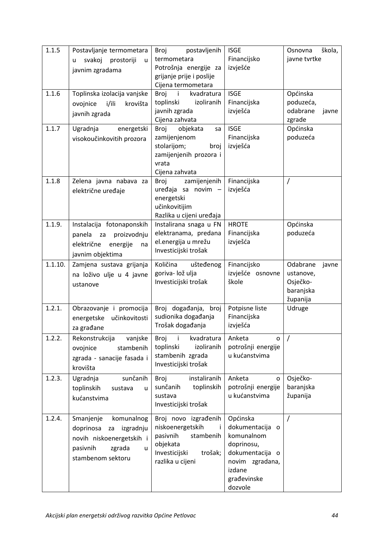| 1.1.5<br>1.1.6 | Postavljanje termometara<br>svakoj<br>prostoriji<br>u<br>u<br>javnim zgradama<br>Toplinska izolacija vanjske                        | postavljenih<br>Broj<br>termometara<br>Potrošnja energije za<br>grijanje prije i poslije<br>Cijena termometara<br>$\mathbf{i}$<br>kvadratura<br>Broj | <b>ISGE</b><br>Financijsko<br>izvješće<br><b>ISGE</b>                                                                             | škola,<br>Osnovna<br>javne tvrtke<br>Općinska                       |
|----------------|-------------------------------------------------------------------------------------------------------------------------------------|------------------------------------------------------------------------------------------------------------------------------------------------------|-----------------------------------------------------------------------------------------------------------------------------------|---------------------------------------------------------------------|
|                | i/ili<br>krovišta<br>ovojnice<br>javnih zgrada                                                                                      | toplinski<br>izoliranih<br>javnih zgrada<br>Cijena zahvata                                                                                           | Financijska<br>izvješća                                                                                                           | poduzeća,<br>odabrane<br>javne<br>zgrade                            |
| 1.1.7          | energetski<br>Ugradnja<br>visokoučinkovitih prozora                                                                                 | objekata<br>Broj<br>sa<br>zamijenjenom<br>stolarijom;<br>broj<br>zamijenjenih prozora i<br>vrata<br>Cijena zahvata                                   | <b>ISGE</b><br>Financijska<br>izvješća                                                                                            | Općinska<br>poduzeća                                                |
| 1.1.8          | Zelena javna nabava za<br>električne uređaje                                                                                        | zamijenjenih<br>Broj<br>uređaja sa novim -<br>energetski<br>učinkovitijim<br>Razlika u cijeni uređaja                                                | Financijska<br>izvješća                                                                                                           | Ι                                                                   |
| 1.1.9.         | Instalacija fotonaponskih<br>proizvodnju<br>panela<br>za<br>električne<br>energije<br>na<br>javnim objektima                        | Instalirana snaga u FN<br>elektranama, predana<br>el.energija u mrežu<br>Investicijski trošak                                                        | <b>HROTE</b><br>Financijska<br>izvješća                                                                                           | Općinska<br>poduzeća                                                |
| 1.1.10.        | Zamjena sustava grijanja<br>na loživo ulje u 4 javne<br>ustanove                                                                    | Količina<br>ušteđenog<br>goriva- lož ulja<br>Investicijski trošak                                                                                    | Financijsko<br>izvješće osnovne<br>škole                                                                                          | Odabrane<br>javne<br>ustanove,<br>Osječko-<br>baranjska<br>županija |
| 1.2.1.         | Obrazovanje i promocija<br>učinkovitosti<br>energetske<br>za građane                                                                | Broj događanja, broj<br>sudionika događanja<br>Trošak događanja                                                                                      | Potpisne liste<br>Financijska<br>izvješća                                                                                         | Udruge                                                              |
| 1.2.2.         | vanjske<br>Rekonstrukcija<br>stambenih<br>ovojnice<br>zgrada - sanacije fasada i<br>krovišta                                        | Broj<br>kvadratura<br>-i<br>toplinski<br>izoliranih<br>stambenih zgrada<br>Investicijski trošak                                                      | Anketa<br>0<br>potrošnji energije<br>u kućanstvima                                                                                |                                                                     |
| 1.2.3.         | Ugradnja<br>sunčanih<br>toplinskih<br>sustava<br>u<br>kućanstvima                                                                   | instaliranih<br>Broj<br>sunčanih<br>toplinskih<br>sustava<br>Investicijski trošak                                                                    | Anketa<br>0<br>potrošnji energije<br>u kućanstvima                                                                                | Osječko-<br>baranjska<br>županija                                   |
| 1.2.4.         | Smanjenje<br>komunalnog<br>doprinosa<br>izgradnju<br>za<br>novih niskoenergetskih i<br>pasivnih<br>zgrada<br>u<br>stambenom sektoru | Broj novo izgrađenih<br>niskoenergetskih<br>pasivnih<br>stambenih<br>objekata<br>Investicijski<br>trošak;<br>razlika u cijeni                        | Općinska<br>dokumentacija o<br>komunalnom<br>doprinosu,<br>dokumentacija o<br>novim zgradana,<br>izdane<br>građevinske<br>dozvole | $\overline{1}$                                                      |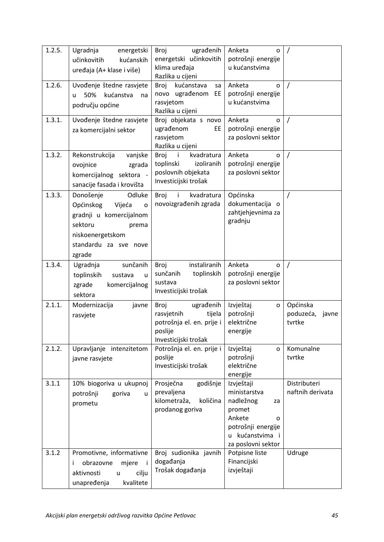| 1.2.5. | Ugradnja<br>energetski<br>učinkovitih<br>kućanskih<br>uređaja (A+ klase i više)                                                                                  | ugrađenih<br>Broj<br>energetski učinkovitih<br>klima uređaja<br>Razlika u cijeni                            | Anketa<br>0<br>potrošnji energije<br>u kućanstvima                                                                                    |                                       |
|--------|------------------------------------------------------------------------------------------------------------------------------------------------------------------|-------------------------------------------------------------------------------------------------------------|---------------------------------------------------------------------------------------------------------------------------------------|---------------------------------------|
| 1.2.6. | Uvođenje štedne rasvjete<br>50%<br>kućanstva<br>u.<br>na<br>području općine                                                                                      | kućanstava<br>Broj<br>sa<br>novo ugrađenom EE<br>rasvjetom<br>Razlika u cijeni                              | Anketa<br>0<br>potrošnji energije<br>u kućanstvima                                                                                    | $\prime$                              |
| 1.3.1. | Uvođenje štedne rasvjete<br>za komercijalni sektor                                                                                                               | Broj objekata s novo<br>ugrađenom<br>EE<br>rasvjetom<br>Razlika u cijeni                                    | Anketa<br>O<br>potrošnji energije<br>za poslovni sektor                                                                               | $\prime$                              |
| 1.3.2. | Rekonstrukcija<br>vanjske<br>ovojnice<br>zgrada<br>komercijalnog sektora -<br>sanacije fasada i krovišta                                                         | $\mathbf{i}$<br>Broj<br>kvadratura<br>toplinski<br>izoliranih<br>poslovnih objekata<br>Investicijski trošak | Anketa<br>0<br>potrošnji energije<br>za poslovni sektor                                                                               | $\prime$                              |
| 1.3.3. | Odluke<br>Donošenje<br>Općinskog<br>Vijeća<br>$\mathbf{o}$<br>gradnji u komercijalnom<br>sektoru<br>prema<br>niskoenergetskom<br>standardu za sve nove<br>zgrade | Broj<br>kvadratura<br>novoizgrađenih zgrada                                                                 | Općinska<br>dokumentacija o<br>zahtjehjevnima za<br>gradnju                                                                           |                                       |
| 1.3.4. | sunčanih<br>Ugradnja<br>toplinskih<br>sustava<br>$\mathsf{u}$<br>zgrade<br>komercijalnog<br>sektora                                                              | instaliranih<br>Broj<br>sunčanih<br>toplinskih<br>sustava<br>Investicijski trošak                           | Anketa<br>$\Omega$<br>potrošnji energije<br>za poslovni sektor                                                                        |                                       |
| 2.1.1. | Modernizacija<br>javne<br>rasvjete                                                                                                                               | Broj<br>ugrađenih<br>rasvjetnih<br>tijela<br>potrošnja el. en. prije i<br>poslije<br>Investicijski trošak   | Izvještaj<br>$\mathsf{o}$<br>potrošnji<br>električne<br>energije                                                                      | Općinska<br>poduzeća, javne<br>tvrtke |
| 2.1.2. | Upravljanje intenzitetom<br>javne rasvjete                                                                                                                       | Potrošnja el. en. prije i<br>poslije<br>Investicijski trošak                                                | Izvještaj<br>$\mathbf{o}$<br>potrošnji<br>električne<br>energije                                                                      | Komunalne<br>tvrtke                   |
| 3.1.1  | 10% biogoriva u ukupnoj<br>potrošnji<br>goriva<br>u<br>prometu                                                                                                   | Prosječna<br>godišnje<br>prevaljena<br>kilometraža,<br>količina<br>prodanog goriva                          | Izvještaji<br>ministarstva<br>nadležnog<br>za<br>promet<br>Ankete<br>0<br>potrošnji energije<br>u kućanstvima i<br>za poslovni sektor | Distributeri<br>naftnih derivata      |
| 3.1.2  | Promotivne, informativne<br>obrazovne<br>mjere<br>Ξi<br>Ť.<br>cilju<br>aktivnosti<br>$\mathsf{u}$<br>unapređenja<br>kvalitete                                    | Broj sudionika javnih<br>događanja<br>Trošak događanja                                                      | Potpisne liste<br>Financijski<br>izvještaji                                                                                           | Udruge                                |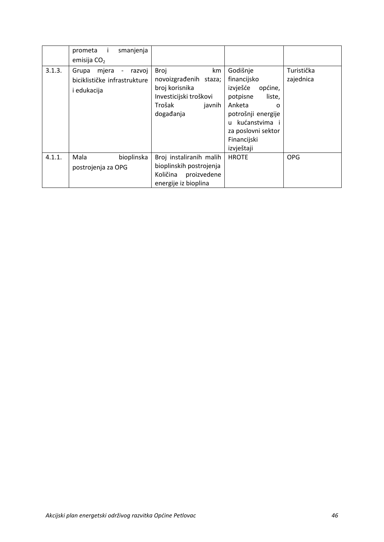|        | prometa i<br>emisija $CO2$                                      | smanjenja  |                                                                                                         |              |                                                                                                                                                                                                      |                         |
|--------|-----------------------------------------------------------------|------------|---------------------------------------------------------------------------------------------------------|--------------|------------------------------------------------------------------------------------------------------------------------------------------------------------------------------------------------------|-------------------------|
| 3.1.3. | mjera -<br>Grupa<br>biciklističke infrastrukture<br>i edukacija | razvoj     | <b>Broj</b><br>novoizgrađenih staza;<br>broj korisnika<br>Investicijski troškovi<br>Trošak<br>događanja | km<br>javnih | Godišnje<br>financijsko<br>izvješće<br>općine,<br>potpisne<br>liste,<br>Anketa<br>$\Omega$<br>potrošnji energije<br>kućanstvima i<br>$\mathbf{u}$<br>za poslovni sektor<br>Financijski<br>izvještaji | Turistička<br>zajednica |
| 4.1.1. | Mala<br>postrojenja za OPG                                      | bioplinska | Broj instaliranih malih<br>bioplinskih postrojenja<br>Količina<br>proizvedene<br>energije iz bioplina   |              | <b>HROTE</b>                                                                                                                                                                                         | <b>OPG</b>              |